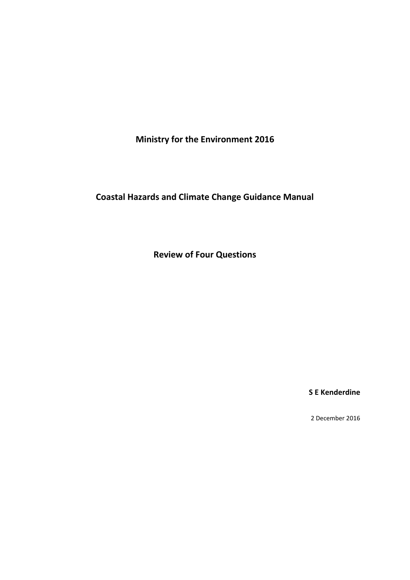**Ministry for the Environment 2016**

**Coastal Hazards and Climate Change Guidance Manual**

**Review of Four Questions**

**S E Kenderdine**

2 December 2016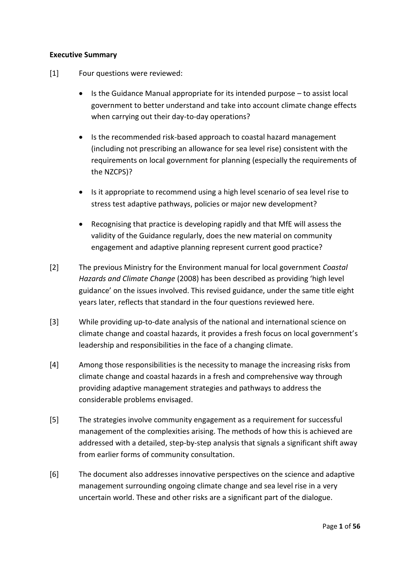#### **Executive Summary**

- [1] Four questions were reviewed:
	- $\bullet$  Is the Guidance Manual appropriate for its intended purpose  $-$  to assist local government to better understand and take into account climate change effects when carrying out their day-to-day operations?
	- Is the recommended risk-based approach to coastal hazard management (including not prescribing an allowance for sea level rise) consistent with the requirements on local government for planning (especially the requirements of the NZCPS)?
	- Is it appropriate to recommend using a high level scenario of sea level rise to stress test adaptive pathways, policies or major new development?
	- Recognising that practice is developing rapidly and that MfE will assess the validity of the Guidance regularly, does the new material on community engagement and adaptive planning represent current good practice?
- [2] The previous Ministry for the Environment manual for local government *Coastal Hazards and Climate Change* (2008) has been described as providing 'high level guidance' on the issues involved. This revised guidance, under the same title eight years later, reflects that standard in the four questions reviewed here.
- [3] While providing up-to-date analysis of the national and international science on climate change and coastal hazards, it provides a fresh focus on local government's leadership and responsibilities in the face of a changing climate.
- [4] Among those responsibilities is the necessity to manage the increasing risks from climate change and coastal hazards in a fresh and comprehensive way through providing adaptive management strategies and pathways to address the considerable problems envisaged.
- [5] The strategies involve community engagement as a requirement for successful management of the complexities arising. The methods of how this is achieved are addressed with a detailed, step-by-step analysis that signals a significant shift away from earlier forms of community consultation.
- [6] The document also addresses innovative perspectives on the science and adaptive management surrounding ongoing climate change and sea level rise in a very uncertain world. These and other risks are a significant part of the dialogue.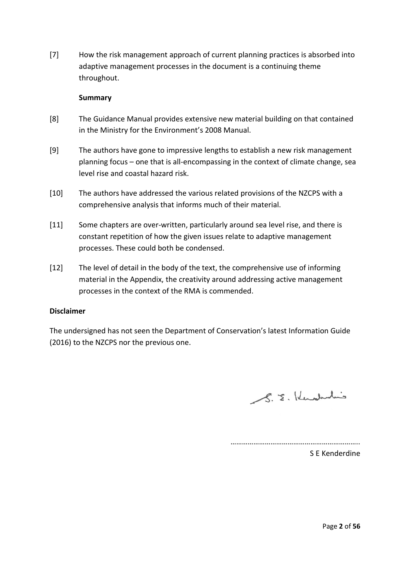[7] How the risk management approach of current planning practices is absorbed into adaptive management processes in the document is a continuing theme throughout.

#### **Summary**

- [8] The Guidance Manual provides extensive new material building on that contained in the Ministry for the Environment's 2008 Manual.
- [9] The authors have gone to impressive lengths to establish a new risk management planning focus – one that is all-encompassing in the context of climate change, sea level rise and coastal hazard risk.
- [10] The authors have addressed the various related provisions of the NZCPS with a comprehensive analysis that informs much of their material.
- [11] Some chapters are over-written, particularly around sea level rise, and there is constant repetition of how the given issues relate to adaptive management processes. These could both be condensed.
- [12] The level of detail in the body of the text, the comprehensive use of informing material in the Appendix, the creativity around addressing active management processes in the context of the RMA is commended.

#### **Disclaimer**

The undersigned has not seen the Department of Conservation's latest Information Guide (2016) to the NZCPS nor the previous one.

S.E. Kenderhin

…………………………………………………………..

S E Kenderdine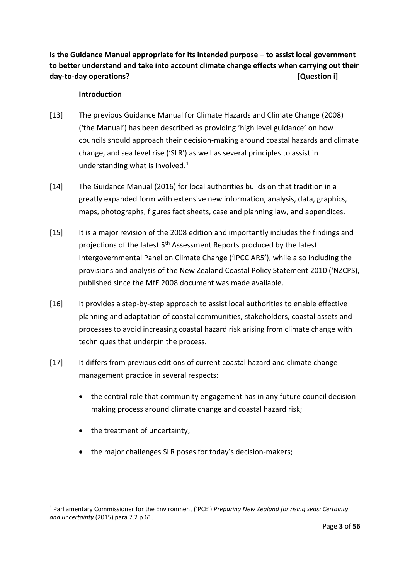**Is the Guidance Manual appropriate for its intended purpose – to assist local government to better understand and take into account climate change effects when carrying out their day-to-day operations? [Question i]**

#### **Introduction**

- [13] The previous Guidance Manual for Climate Hazards and Climate Change (2008) ('the Manual') has been described as providing 'high level guidance' on how councils should approach their decision-making around coastal hazards and climate change, and sea level rise ('SLR') as well as several principles to assist in understanding what is involved. 1
- [14] The Guidance Manual (2016) for local authorities builds on that tradition in a greatly expanded form with extensive new information, analysis, data, graphics, maps, photographs, figures fact sheets, case and planning law, and appendices.
- [15] It is a major revision of the 2008 edition and importantly includes the findings and projections of the latest 5<sup>th</sup> Assessment Reports produced by the latest Intergovernmental Panel on Climate Change ('IPCC AR5'), while also including the provisions and analysis of the New Zealand Coastal Policy Statement 2010 ('NZCPS), published since the MfE 2008 document was made available.
- [16] It provides a step-by-step approach to assist local authorities to enable effective planning and adaptation of coastal communities, stakeholders, coastal assets and processes to avoid increasing coastal hazard risk arising from climate change with techniques that underpin the process.
- [17] It differs from previous editions of current coastal hazard and climate change management practice in several respects:
	- the central role that community engagement has in any future council decisionmaking process around climate change and coastal hazard risk;
	- the treatment of uncertainty;

**.** 

• the major challenges SLR poses for today's decision-makers;

<sup>1</sup> Parliamentary Commissioner for the Environment ('PCE') *Preparing New Zealand for rising seas: Certainty and uncertainty* (2015) para 7.2 p 61.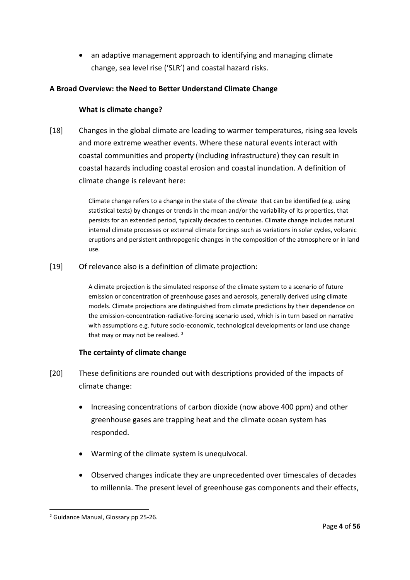an adaptive management approach to identifying and managing climate change, sea level rise ('SLR') and coastal hazard risks.

# **A Broad Overview: the Need to Better Understand Climate Change**

### **What is climate change?**

[18] Changes in the global climate are leading to warmer temperatures, rising sea levels and more extreme weather events. Where these natural events interact with coastal communities and property (including infrastructure) they can result in coastal hazards including coastal erosion and coastal inundation. A definition of climate change is relevant here:

> Climate change refers to a change in the state of the *climate* that can be identified (e.g. using statistical tests) by changes or trends in the mean and/or the variability of its properties, that persists for an extended period, typically decades to centuries. Climate change includes natural internal climate processes or external climate forcings such as variations in solar cycles, volcanic eruptions and persistent anthropogenic changes in the composition of the atmosphere or in land use.

[19] Of relevance also is a definition of climate projection:

A climate projection is the simulated response of the climate system to a scenario of future emission or concentration of greenhouse gases and aerosols, generally derived using climate models. Climate projections are distinguished from climate predictions by their dependence on the emission-concentration-radiative-forcing scenario used, which is in turn based on narrative with assumptions e.g. future socio-economic, technological developments or land use change that may or may not be realised.<sup>2</sup>

# **The certainty of climate change**

- [20] These definitions are rounded out with descriptions provided of the impacts of climate change:
	- Increasing concentrations of carbon dioxide (now above 400 ppm) and other greenhouse gases are trapping heat and the climate ocean system has responded.
	- Warming of the climate system is unequivocal.
	- Observed changes indicate they are unprecedented over timescales of decades to millennia. The present level of greenhouse gas components and their effects,

<sup>2</sup> Guidance Manual, Glossary pp 25-26.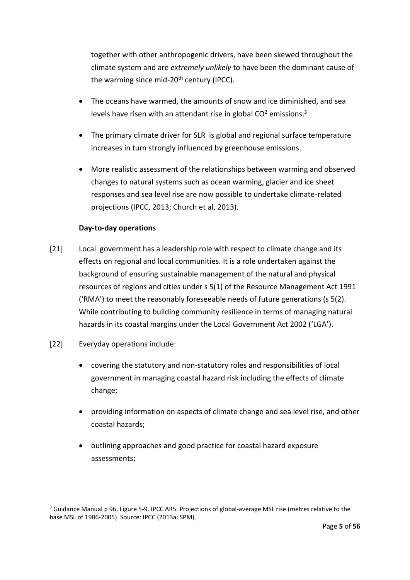together with other anthropogenic drivers, have been skewed throughout the climate system and are *extremely unlikely* to have been the dominant cause of the warming since mid- $20<sup>th</sup>$  century (IPCC).

- The oceans have warmed, the amounts of snow and ice diminished, and sea levels have risen with an attendant rise in global  $CO<sup>2</sup>$  emissions.<sup>3</sup>
- The primary climate driver for SLR is global and regional surface temperature increases in turn strongly influenced by greenhouse emissions.
- More realistic assessment of the relationships between warming and observed changes to natural systems such as ocean warming, glacier and ice sheet responses and sea level rise are now possible to undertake climate-related projections (IPCC, 2013; Church et al, 2013).

# **Day-to-day operations**

- [21] Local government has a leadership role with respect to climate change and its effects on regional and local communities. It is a role undertaken against the background of ensuring sustainable management of the natural and physical resources of regions and cities under s 5(1) of the Resource Management Act 1991 ('RMA') to meet the reasonably foreseeable needs of future generations (s 5(2). While contributing to building community resilience in terms of managing natural hazards in its coastal margins under the Local Government Act 2002 ('LGA').
- [22] Everyday operations include:

- covering the statutory and non-statutory roles and responsibilities of local government in managing coastal hazard risk including the effects of climate change;
- providing information on aspects of climate change and sea level rise, and other coastal hazards;
- outlining approaches and good practice for coastal hazard exposure assessments;

<sup>&</sup>lt;sup>3</sup> Guidance Manual p 96, Figure 5-9. IPCC AR5. Projections of global-average MSL rise (metres relative to the base MSL of 1986-2005). Source: IPCC (2013a: SPM).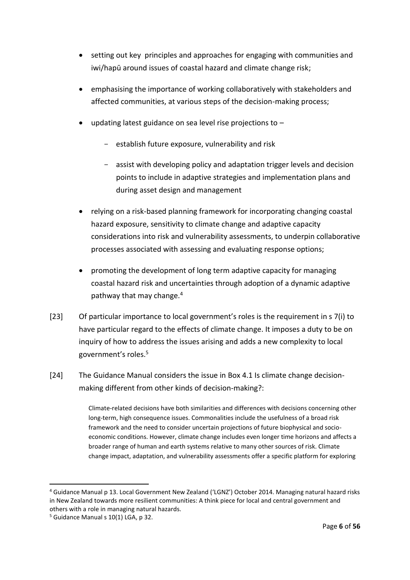- setting out key principles and approaches for engaging with communities and iwi/hapū around issues of coastal hazard and climate change risk;
- emphasising the importance of working collaboratively with stakeholders and affected communities, at various steps of the decision-making process;
- updating latest guidance on sea level rise projections to
	- establish future exposure, vulnerability and risk
	- assist with developing policy and adaptation trigger levels and decision points to include in adaptive strategies and implementation plans and during asset design and management
- relying on a risk-based planning framework for incorporating changing coastal hazard exposure, sensitivity to climate change and adaptive capacity considerations into risk and vulnerability assessments, to underpin collaborative processes associated with assessing and evaluating response options;
- promoting the development of long term adaptive capacity for managing coastal hazard risk and uncertainties through adoption of a dynamic adaptive pathway that may change.<sup>4</sup>
- [23] Of particular importance to local government's roles is the requirement in s 7(i) to have particular regard to the effects of climate change. It imposes a duty to be on inquiry of how to address the issues arising and adds a new complexity to local government's roles.<sup>5</sup>
- [24] The Guidance Manual considers the issue in Box 4.1 Is climate change decisionmaking different from other kinds of decision-making?:

Climate-related decisions have both similarities and differences with decisions concerning other long-term, high consequence issues. Commonalities include the usefulness of a broad risk framework and the need to consider uncertain projections of future biophysical and socioeconomic conditions. However, climate change includes even longer time horizons and affects a broader range of human and earth systems relative to many other sources of risk. Climate change impact, adaptation, and vulnerability assessments offer a specific platform for exploring

<sup>4</sup> Guidance Manual p 13. Local Government New Zealand ('LGNZ') October 2014. Managing natural hazard risks in New Zealand towards more resilient communities: A think piece for local and central government and others with a role in managing natural hazards.

<sup>5</sup> Guidance Manual s 10(1) LGA, p 32.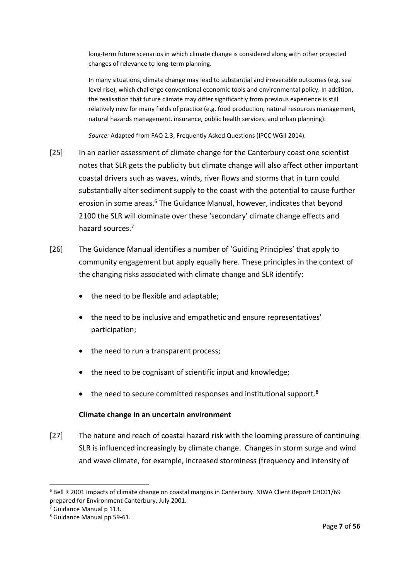long-term future scenarios in which climate change is considered along with other projected changes of relevance to long-term planning.

In many situations, climate change may lead to substantial and irreversible outcomes (e.g. sea level rise), which challenge conventional economic tools and environmental policy. In addition, the realisation that future climate may differ significantly from previous experience is still relatively new for many fields of practice (e.g. food production, natural resources management, natural hazards management, insurance, public health services, and urban planning).

*Source:* Adapted from FAQ 2.3, Frequently Asked Questions (IPCC WGII 2014).

- [25] In an earlier assessment of climate change for the Canterbury coast one scientist notes that SLR gets the publicity but climate change will also affect other important coastal drivers such as waves, winds, river flows and storms that in turn could substantially alter sediment supply to the coast with the potential to cause further erosion in some areas.<sup>6</sup> The Guidance Manual, however, indicates that beyond 2100 the SLR will dominate over these 'secondary' climate change effects and hazard sources.<sup>7</sup>
- [26] The Guidance Manual identifies a number of 'Guiding Principles' that apply to community engagement but apply equally here. These principles in the context of the changing risks associated with climate change and SLR identify:
	- the need to be flexible and adaptable;
	- the need to be inclusive and empathetic and ensure representatives' participation;
	- the need to run a transparent process;
	- the need to be cognisant of scientific input and knowledge;
	- $\bullet$  the need to secure committed responses and institutional support.<sup>8</sup>

# **Climate change in an uncertain environment**

[27] The nature and reach of coastal hazard risk with the looming pressure of continuing SLR is influenced increasingly by climate change. Changes in storm surge and wind and wave climate, for example, increased storminess (frequency and intensity of

<sup>6</sup> Bell R 2001 Impacts of climate change on coastal margins in Canterbury. NIWA Client Report CHC01/69 prepared for Environment Canterbury, July 2001.

<sup>&</sup>lt;sup>7</sup> Guidance Manual p 113.

<sup>8</sup> Guidance Manual pp 59-61.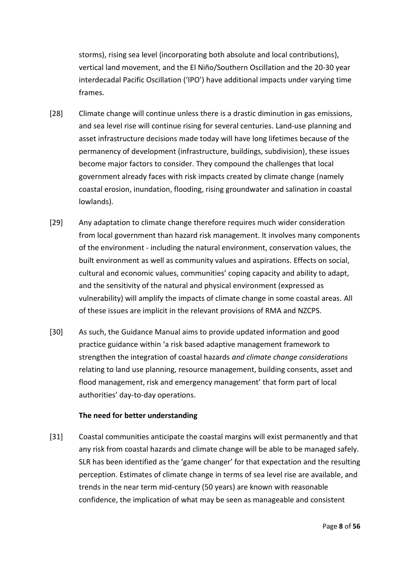storms), rising sea level (incorporating both absolute and local contributions), vertical land movement, and the El Niño/Southern Oscillation and the 20-30 year interdecadal Pacific Oscillation ('IPO') have additional impacts under varying time frames.

- [28] Climate change will continue unless there is a drastic diminution in gas emissions, and sea level rise will continue rising for several centuries. Land-use planning and asset infrastructure decisions made today will have long lifetimes because of the permanency of development (infrastructure, buildings, subdivision), these issues become major factors to consider. They compound the challenges that local government already faces with risk impacts created by climate change (namely coastal erosion, inundation, flooding, rising groundwater and salination in coastal lowlands).
- [29] Any adaptation to climate change therefore requires much wider consideration from local government than hazard risk management. It involves many components of the environment - including the natural environment, conservation values, the built environment as well as community values and aspirations. Effects on social, cultural and economic values, communities' coping capacity and ability to adapt, and the sensitivity of the natural and physical environment (expressed as vulnerability) will amplify the impacts of climate change in some coastal areas. All of these issues are implicit in the relevant provisions of RMA and NZCPS.
- [30] As such, the Guidance Manual aims to provide updated information and good practice guidance within 'a risk based adaptive management framework to strengthen the integration of coastal hazards *and climate change considerations* relating to land use planning, resource management, building consents, asset and flood management, risk and emergency management' that form part of local authorities' day-to-day operations.

#### **The need for better understanding**

[31] Coastal communities anticipate the coastal margins will exist permanently and that any risk from coastal hazards and climate change will be able to be managed safely. SLR has been identified as the 'game changer' for that expectation and the resulting perception. Estimates of climate change in terms of sea level rise are available, and trends in the near term mid-century (50 years) are known with reasonable confidence, the implication of what may be seen as manageable and consistent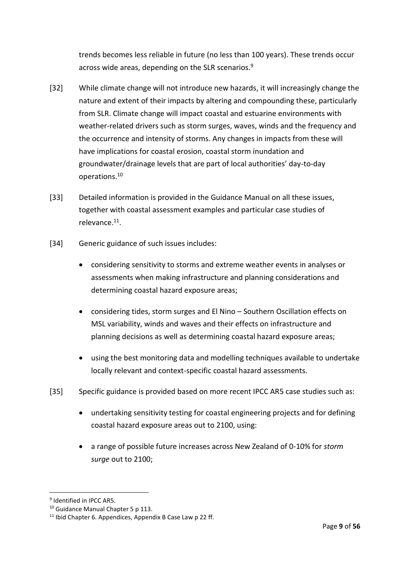trends becomes less reliable in future (no less than 100 years). These trends occur across wide areas, depending on the SLR scenarios. 9

- [32] While climate change will not introduce new hazards, it will increasingly change the nature and extent of their impacts by altering and compounding these, particularly from SLR. Climate change will impact coastal and estuarine environments with weather-related drivers such as storm surges, waves, winds and the frequency and the occurrence and intensity of storms. Any changes in impacts from these will have implications for coastal erosion, coastal storm inundation and groundwater/drainage levels that are part of local authorities' day-to-day operations.<sup>10</sup>
- [33] Detailed information is provided in the Guidance Manual on all these issues, together with coastal assessment examples and particular case studies of relevance. 11 .
- [34] Generic guidance of such issues includes:
	- considering sensitivity to storms and extreme weather events in analyses or assessments when making infrastructure and planning considerations and determining coastal hazard exposure areas;
	- considering tides, storm surges and El Nino Southern Oscillation effects on MSL variability, winds and waves and their effects on infrastructure and planning decisions as well as determining coastal hazard exposure areas;
	- using the best monitoring data and modelling techniques available to undertake locally relevant and context-specific coastal hazard assessments.
- [35] Specific guidance is provided based on more recent IPCC AR5 case studies such as:
	- undertaking sensitivity testing for coastal engineering projects and for defining coastal hazard exposure areas out to 2100, using:
	- a range of possible future increases across New Zealand of 0-10% for *storm surge* out to 2100;

<sup>&</sup>lt;sup>9</sup> Identified in IPCC AR5.

<sup>&</sup>lt;sup>10</sup> Guidance Manual Chapter 5 p 113.

<sup>&</sup>lt;sup>11</sup> Ibid Chapter 6. Appendices, Appendix B Case Law p 22 ff.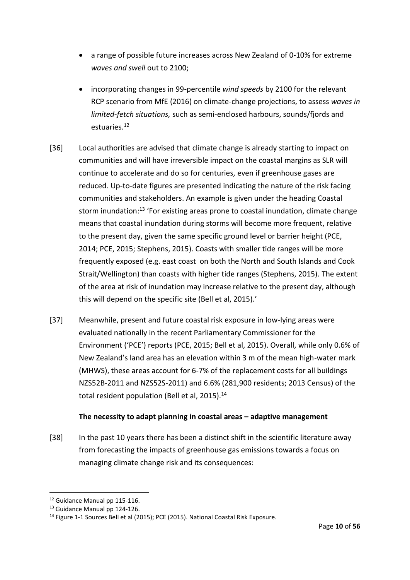- a range of possible future increases across New Zealand of 0-10% for extreme *waves and swell* out to 2100;
- incorporating changes in 99-percentile *wind speeds* by 2100 for the relevant RCP scenario from MfE (2016) on climate-change projections, to assess *waves in limited-fetch situations,* such as semi-enclosed harbours, sounds/fjords and estuaries.<sup>12</sup>
- [36] Local authorities are advised that climate change is already starting to impact on communities and will have irreversible impact on the coastal margins as SLR will continue to accelerate and do so for centuries, even if greenhouse gases are reduced. Up-to-date figures are presented indicating the nature of the risk facing communities and stakeholders. An example is given under the heading Coastal storm inundation:<sup>13</sup> 'For existing areas prone to coastal inundation, climate change means that coastal inundation during storms will become more frequent, relative to the present day, given the same specific ground level or barrier height (PCE, 2014; PCE, 2015; Stephens, 2015). Coasts with smaller tide ranges will be more frequently exposed (e.g. east coast on both the North and South Islands and Cook Strait/Wellington) than coasts with higher tide ranges (Stephens, 2015). The extent of the area at risk of inundation may increase relative to the present day, although this will depend on the specific site (Bell et al, 2015).'
- [37] Meanwhile, present and future coastal risk exposure in low-lying areas were evaluated nationally in the recent Parliamentary Commissioner for the Environment ('PCE') reports (PCE, 2015; Bell et al, 2015). Overall, while only 0.6% of New Zealand's land area has an elevation within 3 m of the mean high-water mark (MHWS), these areas account for 6-7% of the replacement costs for all buildings NZS52B-2011 and NZS52S-2011) and 6.6% (281,900 residents; 2013 Census) of the total resident population (Bell et al,  $2015$ ).<sup>14</sup>

#### **The necessity to adapt planning in coastal areas – adaptive management**

[38] In the past 10 years there has been a distinct shift in the scientific literature away from forecasting the impacts of greenhouse gas emissions towards a focus on managing climate change risk and its consequences:

<sup>12</sup> Guidance Manual pp 115-116.

<sup>&</sup>lt;sup>13</sup> Guidance Manual pp 124-126.

<sup>&</sup>lt;sup>14</sup> Figure 1-1 Sources Bell et al (2015); PCE (2015). National Coastal Risk Exposure.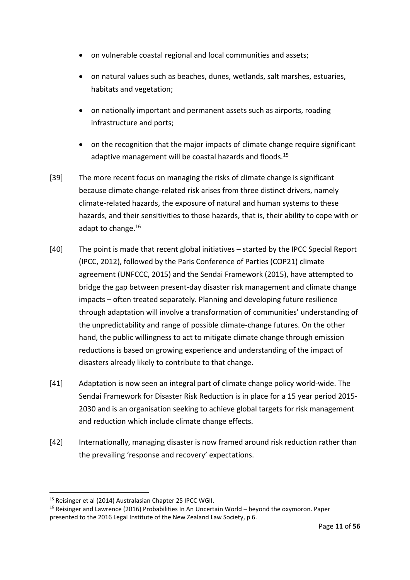- on vulnerable coastal regional and local communities and assets;
- on natural values such as beaches, dunes, wetlands, salt marshes, estuaries, habitats and vegetation;
- on nationally important and permanent assets such as airports, roading infrastructure and ports;
- on the recognition that the major impacts of climate change require significant adaptive management will be coastal hazards and floods.<sup>15</sup>
- [39] The more recent focus on managing the risks of climate change is significant because climate change-related risk arises from three distinct drivers, namely climate-related hazards, the exposure of natural and human systems to these hazards, and their sensitivities to those hazards, that is, their ability to cope with or adapt to change. 16
- [40] The point is made that recent global initiatives started by the IPCC Special Report (IPCC, 2012), followed by the Paris Conference of Parties (COP21) climate agreement (UNFCCC, 2015) and the Sendai Framework (2015), have attempted to bridge the gap between present-day disaster risk management and climate change impacts – often treated separately. Planning and developing future resilience through adaptation will involve a transformation of communities' understanding of the unpredictability and range of possible climate-change futures. On the other hand, the public willingness to act to mitigate climate change through emission reductions is based on growing experience and understanding of the impact of disasters already likely to contribute to that change.
- [41] Adaptation is now seen an integral part of climate change policy world-wide. The Sendai Framework for Disaster Risk Reduction is in place for a 15 year period 2015- 2030 and is an organisation seeking to achieve global targets for risk management and reduction which include climate change effects.
- [42] Internationally, managing disaster is now framed around risk reduction rather than the prevailing 'response and recovery' expectations.

<sup>&</sup>lt;sup>15</sup> Reisinger et al (2014) Australasian Chapter 25 IPCC WGII.

<sup>&</sup>lt;sup>16</sup> Reisinger and Lawrence (2016) Probabilities In An Uncertain World – beyond the oxymoron. Paper presented to the 2016 Legal Institute of the New Zealand Law Society, p 6.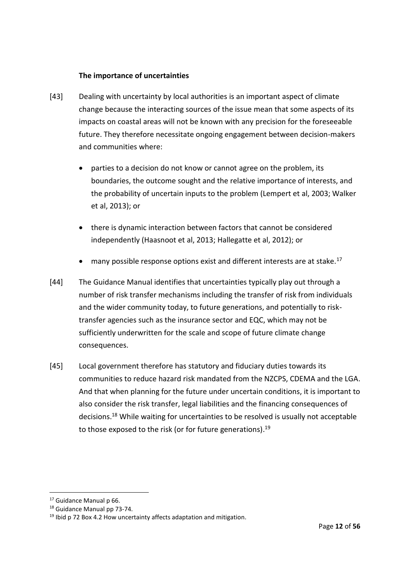#### **The importance of uncertainties**

- [43] Dealing with uncertainty by local authorities is an important aspect of climate change because the interacting sources of the issue mean that some aspects of its impacts on coastal areas will not be known with any precision for the foreseeable future. They therefore necessitate ongoing engagement between decision-makers and communities where:
	- parties to a decision do not know or cannot agree on the problem, its boundaries, the outcome sought and the relative importance of interests, and the probability of uncertain inputs to the problem (Lempert et al, 2003; Walker et al, 2013); or
	- there is dynamic interaction between factors that cannot be considered independently (Haasnoot et al, 2013; Hallegatte et al, 2012); or
	- many possible response options exist and different interests are at stake.<sup>17</sup>
- [44] The Guidance Manual identifies that uncertainties typically play out through a number of risk transfer mechanisms including the transfer of risk from individuals and the wider community today, to future generations, and potentially to risktransfer agencies such as the insurance sector and EQC, which may not be sufficiently underwritten for the scale and scope of future climate change consequences.
- [45] Local government therefore has statutory and fiduciary duties towards its communities to reduce hazard risk mandated from the NZCPS, CDEMA and the LGA. And that when planning for the future under uncertain conditions, it is important to also consider the risk transfer, legal liabilities and the financing consequences of decisions.<sup>18</sup> While waiting for uncertainties to be resolved is usually not acceptable to those exposed to the risk (or for future generations).<sup>19</sup>

<sup>&</sup>lt;sup>17</sup> Guidance Manual p 66.

<sup>18</sup> Guidance Manual pp 73-74.

 $19$  Ibid p 72 Box 4.2 How uncertainty affects adaptation and mitigation.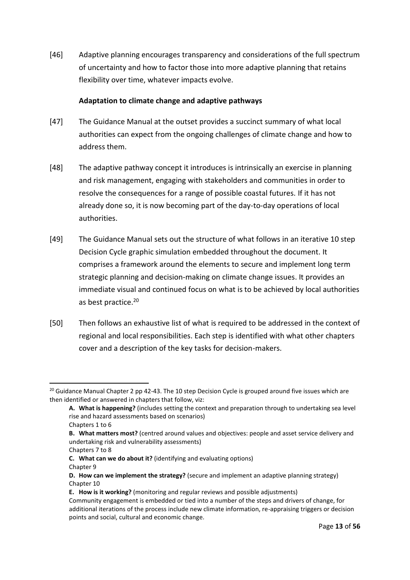[46] Adaptive planning encourages transparency and considerations of the full spectrum of uncertainty and how to factor those into more adaptive planning that retains flexibility over time, whatever impacts evolve.

### **Adaptation to climate change and adaptive pathways**

- [47] The Guidance Manual at the outset provides a succinct summary of what local authorities can expect from the ongoing challenges of climate change and how to address them.
- [48] The adaptive pathway concept it introduces is intrinsically an exercise in planning and risk management, engaging with stakeholders and communities in order to resolve the consequences for a range of possible coastal futures. If it has not already done so, it is now becoming part of the day-to-day operations of local authorities.
- [49] The Guidance Manual sets out the structure of what follows in an iterative 10 step Decision Cycle graphic simulation embedded throughout the document. It comprises a framework around the elements to secure and implement long term strategic planning and decision-making on climate change issues. It provides an immediate visual and continued focus on what is to be achieved by local authorities as best practice.<sup>20</sup>
- [50] Then follows an exhaustive list of what is required to be addressed in the context of regional and local responsibilities. Each step is identified with what other chapters cover and a description of the key tasks for decision-makers.

<sup>&</sup>lt;sup>20</sup> Guidance Manual Chapter 2 pp 42-43. The 10 step Decision Cycle is grouped around five issues which are then identified or answered in chapters that follow, viz:

**A. What is happening?** (includes setting the context and preparation through to undertaking sea level rise and hazard assessments based on scenarios)

Chapters 1 to 6

**B. What matters most?** (centred around values and objectives: people and asset service delivery and undertaking risk and vulnerability assessments)

Chapters 7 to 8

**C. What can we do about it?** (identifying and evaluating options) Chapter 9

**D. How can we implement the strategy?** (secure and implement an adaptive planning strategy) Chapter 10

**E. How is it working?** (monitoring and regular reviews and possible adjustments)

Community engagement is embedded or tied into a number of the steps and drivers of change, for additional iterations of the process include new climate information, re-appraising triggers or decision points and social, cultural and economic change.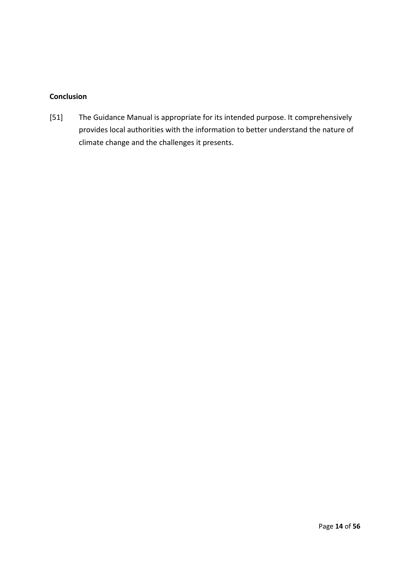# **Conclusion**

[51] The Guidance Manual is appropriate for its intended purpose. It comprehensively provides local authorities with the information to better understand the nature of climate change and the challenges it presents.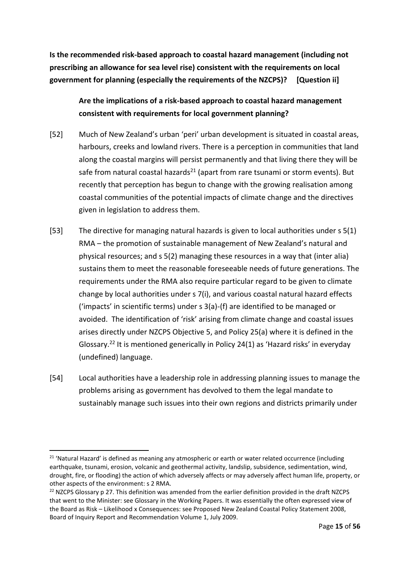**Is the recommended risk-based approach to coastal hazard management (including not prescribing an allowance for sea level rise) consistent with the requirements on local government for planning (especially the requirements of the NZCPS)? [Question ii]**

**Are the implications of a risk-based approach to coastal hazard management consistent with requirements for local government planning?**

- [52] Much of New Zealand's urban 'peri' urban development is situated in coastal areas, harbours, creeks and lowland rivers. There is a perception in communities that land along the coastal margins will persist permanently and that living there they will be safe from natural coastal hazards<sup>21</sup> (apart from rare tsunami or storm events). But recently that perception has begun to change with the growing realisation among coastal communities of the potential impacts of climate change and the directives given in legislation to address them.
- [53] The directive for managing natural hazards is given to local authorities under s 5(1) RMA – the promotion of sustainable management of New Zealand's natural and physical resources; and s 5(2) managing these resources in a way that (inter alia) sustains them to meet the reasonable foreseeable needs of future generations. The requirements under the RMA also require particular regard to be given to climate change by local authorities under s 7(i), and various coastal natural hazard effects ('impacts' in scientific terms) under s 3(a)-(f) are identified to be managed or avoided. The identification of 'risk' arising from climate change and coastal issues arises directly under NZCPS Objective 5, and Policy 25(a) where it is defined in the Glossary.<sup>22</sup> It is mentioned generically in Policy 24(1) as 'Hazard risks' in everyday (undefined) language.
- [54] Local authorities have a leadership role in addressing planning issues to manage the problems arising as government has devolved to them the legal mandate to sustainably manage such issues into their own regions and districts primarily under

-

 $21$  'Natural Hazard' is defined as meaning any atmospheric or earth or water related occurrence (including earthquake, tsunami, erosion, volcanic and geothermal activity, landslip, subsidence, sedimentation, wind, drought, fire, or flooding) the action of which adversely affects or may adversely affect human life, property, or other aspects of the environment: s 2 RMA.

 $^{22}$  NZCPS Glossary p 27. This definition was amended from the earlier definition provided in the draft NZCPS that went to the Minister: see Glossary in the Working Papers. It was essentially the often expressed view of the Board as Risk – Likelihood x Consequences: see Proposed New Zealand Coastal Policy Statement 2008, Board of Inquiry Report and Recommendation Volume 1, July 2009.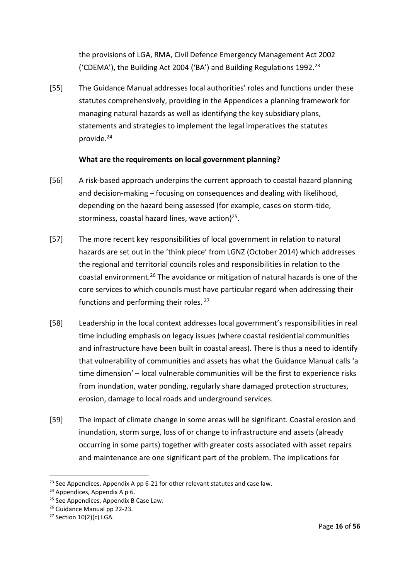the provisions of LGA, RMA, Civil Defence Emergency Management Act 2002 ('CDEMA'), the Building Act 2004 ('BA') and Building Regulations 1992.<sup>23</sup>

[55] The Guidance Manual addresses local authorities' roles and functions under these statutes comprehensively, providing in the Appendices a planning framework for managing natural hazards as well as identifying the key subsidiary plans, statements and strategies to implement the legal imperatives the statutes provide.<sup>24</sup>

### **What are the requirements on local government planning?**

- [56] A risk-based approach underpins the current approach to coastal hazard planning and decision-making – focusing on consequences and dealing with likelihood, depending on the hazard being assessed (for example, cases on storm-tide, storminess, coastal hazard lines, wave action)<sup>25</sup>.
- [57] The more recent key responsibilities of local government in relation to natural hazards are set out in the 'think piece' from LGNZ (October 2014) which addresses the regional and territorial councils roles and responsibilities in relation to the coastal environment.<sup>26</sup> The avoidance or mitigation of natural hazards is one of the core services to which councils must have particular regard when addressing their functions and performing their roles. <sup>27</sup>
- [58] Leadership in the local context addresses local government's responsibilities in real time including emphasis on legacy issues (where coastal residential communities and infrastructure have been built in coastal areas). There is thus a need to identify that vulnerability of communities and assets has what the Guidance Manual calls 'a time dimension' – local vulnerable communities will be the first to experience risks from inundation, water ponding, regularly share damaged protection structures, erosion, damage to local roads and underground services.
- [59] The impact of climate change in some areas will be significant. Coastal erosion and inundation, storm surge, loss of or change to infrastructure and assets (already occurring in some parts) together with greater costs associated with asset repairs and maintenance are one significant part of the problem. The implications for

<sup>1</sup> <sup>23</sup> See Appendices, Appendix A pp 6-21 for other relevant statutes and case law.

<sup>&</sup>lt;sup>24</sup> Appendices, Appendix A p 6.

<sup>&</sup>lt;sup>25</sup> See Appendices, Appendix B Case Law.

<sup>&</sup>lt;sup>26</sup> Guidance Manual pp 22-23.

<sup>27</sup> Section 10(2)(c) LGA.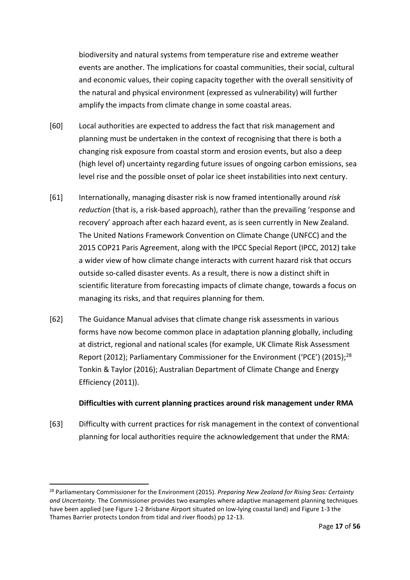biodiversity and natural systems from temperature rise and extreme weather events are another. The implications for coastal communities, their social, cultural and economic values, their coping capacity together with the overall sensitivity of the natural and physical environment (expressed as vulnerability) will further amplify the impacts from climate change in some coastal areas.

- [60] Local authorities are expected to address the fact that risk management and planning must be undertaken in the context of recognising that there is both a changing risk exposure from coastal storm and erosion events, but also a deep (high level of) uncertainty regarding future issues of ongoing carbon emissions, sea level rise and the possible onset of polar ice sheet instabilities into next century.
- [61] Internationally, managing disaster risk is now framed intentionally around *risk reduction* (that is, a risk-based approach), rather than the prevailing 'response and recovery' approach after each hazard event, as is seen currently in New Zealand. The United Nations Framework Convention on Climate Change (UNFCC) and the 2015 COP21 Paris Agreement, along with the IPCC Special Report (IPCC, 2012) take a wider view of how climate change interacts with current hazard risk that occurs outside so-called disaster events. As a result, there is now a distinct shift in scientific literature from forecasting impacts of climate change, towards a focus on managing its risks, and that requires planning for them.
- [62] The Guidance Manual advises that climate change risk assessments in various forms have now become common place in adaptation planning globally, including at district, regional and national scales (for example, UK Climate Risk Assessment Report (2012); Parliamentary Commissioner for the Environment ('PCE') (2015);<sup>28</sup> Tonkin & Taylor (2016); Australian Department of Climate Change and Energy Efficiency (2011)).

#### **Difficulties with current planning practices around risk management under RMA**

[63] Difficulty with current practices for risk management in the context of conventional planning for local authorities require the acknowledgement that under the RMA:

<sup>28</sup> Parliamentary Commissioner for the Environment (2015). *Preparing New Zealand for Rising Seas: Certainty and Uncertainty*. The Commissioner provides two examples where adaptive management planning techniques have been applied (see Figure 1-2 Brisbane Airport situated on low-lying coastal land) and Figure 1-3 the Thames Barrier protects London from tidal and river floods) pp 12-13.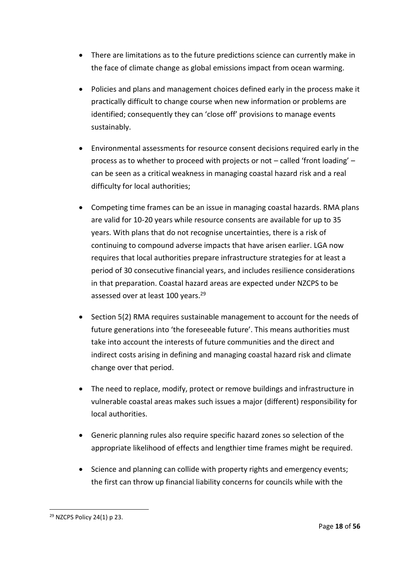- There are limitations as to the future predictions science can currently make in the face of climate change as global emissions impact from ocean warming.
- Policies and plans and management choices defined early in the process make it practically difficult to change course when new information or problems are identified; consequently they can 'close off' provisions to manage events sustainably.
- Environmental assessments for resource consent decisions required early in the process as to whether to proceed with projects or not – called 'front loading' – can be seen as a critical weakness in managing coastal hazard risk and a real difficulty for local authorities;
- Competing time frames can be an issue in managing coastal hazards. RMA plans are valid for 10-20 years while resource consents are available for up to 35 years. With plans that do not recognise uncertainties, there is a risk of continuing to compound adverse impacts that have arisen earlier. LGA now requires that local authorities prepare infrastructure strategies for at least a period of 30 consecutive financial years, and includes resilience considerations in that preparation. Coastal hazard areas are expected under NZCPS to be assessed over at least 100 years.<sup>29</sup>
- Section 5(2) RMA requires sustainable management to account for the needs of future generations into 'the foreseeable future'. This means authorities must take into account the interests of future communities and the direct and indirect costs arising in defining and managing coastal hazard risk and climate change over that period.
- The need to replace, modify, protect or remove buildings and infrastructure in vulnerable coastal areas makes such issues a major (different) responsibility for local authorities.
- Generic planning rules also require specific hazard zones so selection of the appropriate likelihood of effects and lengthier time frames might be required.
- Science and planning can collide with property rights and emergency events; the first can throw up financial liability concerns for councils while with the

<sup>29</sup> NZCPS Policy 24(1) p 23.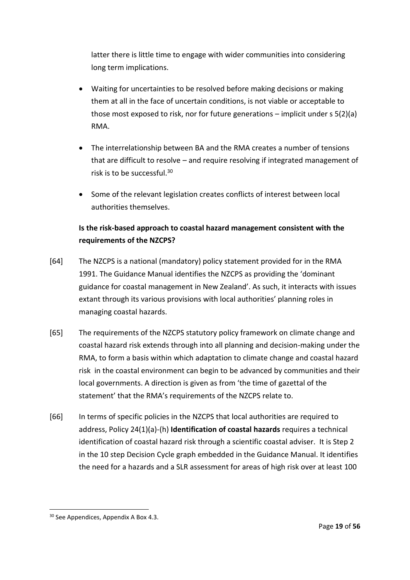latter there is little time to engage with wider communities into considering long term implications.

- Waiting for uncertainties to be resolved before making decisions or making them at all in the face of uncertain conditions, is not viable or acceptable to those most exposed to risk, nor for future generations – implicit under s 5(2)(a) RMA.
- The interrelationship between BA and the RMA creates a number of tensions that are difficult to resolve – and require resolving if integrated management of risk is to be successful.<sup>30</sup>
- Some of the relevant legislation creates conflicts of interest between local authorities themselves.

# **Is the risk-based approach to coastal hazard management consistent with the requirements of the NZCPS?**

- [64] The NZCPS is a national (mandatory) policy statement provided for in the RMA 1991. The Guidance Manual identifies the NZCPS as providing the 'dominant guidance for coastal management in New Zealand'. As such, it interacts with issues extant through its various provisions with local authorities' planning roles in managing coastal hazards.
- [65] The requirements of the NZCPS statutory policy framework on climate change and coastal hazard risk extends through into all planning and decision-making under the RMA, to form a basis within which adaptation to climate change and coastal hazard risk in the coastal environment can begin to be advanced by communities and their local governments. A direction is given as from 'the time of gazettal of the statement' that the RMA's requirements of the NZCPS relate to.
- [66] In terms of specific policies in the NZCPS that local authorities are required to address, Policy 24(1)(a)-(h) **Identification of coastal hazards** requires a technical identification of coastal hazard risk through a scientific coastal adviser. It is Step 2 in the 10 step Decision Cycle graph embedded in the Guidance Manual. It identifies the need for a hazards and a SLR assessment for areas of high risk over at least 100

<sup>&</sup>lt;sup>30</sup> See Appendices, Appendix A Box 4.3.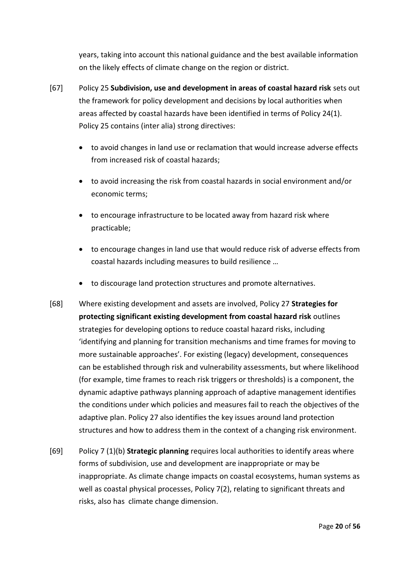years, taking into account this national guidance and the best available information on the likely effects of climate change on the region or district.

- [67] Policy 25 **Subdivision, use and development in areas of coastal hazard risk** sets out the framework for policy development and decisions by local authorities when areas affected by coastal hazards have been identified in terms of Policy 24(1). Policy 25 contains (inter alia) strong directives:
	- to avoid changes in land use or reclamation that would increase adverse effects from increased risk of coastal hazards;
	- to avoid increasing the risk from coastal hazards in social environment and/or economic terms;
	- to encourage infrastructure to be located away from hazard risk where practicable;
	- to encourage changes in land use that would reduce risk of adverse effects from coastal hazards including measures to build resilience …
	- to discourage land protection structures and promote alternatives.
- [68] Where existing development and assets are involved, Policy 27 **Strategies for protecting significant existing development from coastal hazard risk** outlines strategies for developing options to reduce coastal hazard risks, including 'identifying and planning for transition mechanisms and time frames for moving to more sustainable approaches'. For existing (legacy) development, consequences can be established through risk and vulnerability assessments, but where likelihood (for example, time frames to reach risk triggers or thresholds) is a component, the dynamic adaptive pathways planning approach of adaptive management identifies the conditions under which policies and measures fail to reach the objectives of the adaptive plan. Policy 27 also identifies the key issues around land protection structures and how to address them in the context of a changing risk environment.
- [69] Policy 7 (1)(b) **Strategic planning** requires local authorities to identify areas where forms of subdivision, use and development are inappropriate or may be inappropriate. As climate change impacts on coastal ecosystems, human systems as well as coastal physical processes, Policy 7(2), relating to significant threats and risks, also has climate change dimension.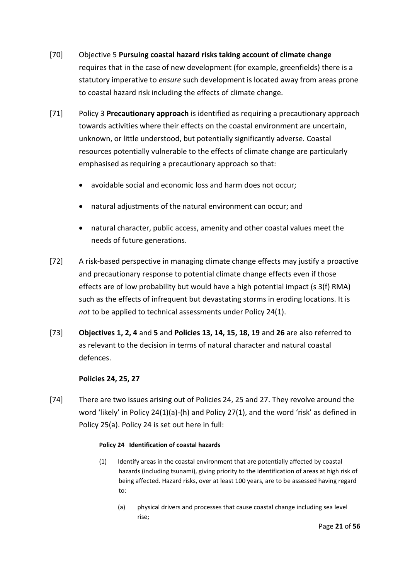- [70] Objective 5 **Pursuing coastal hazard risks taking account of climate change**  requires that in the case of new development (for example, greenfields) there is a statutory imperative to *ensure* such development is located away from areas prone to coastal hazard risk including the effects of climate change.
- [71] Policy 3 **Precautionary approach** is identified as requiring a precautionary approach towards activities where their effects on the coastal environment are uncertain, unknown, or little understood, but potentially significantly adverse. Coastal resources potentially vulnerable to the effects of climate change are particularly emphasised as requiring a precautionary approach so that:
	- avoidable social and economic loss and harm does not occur;
	- natural adjustments of the natural environment can occur; and
	- natural character, public access, amenity and other coastal values meet the needs of future generations.
- [72] A risk-based perspective in managing climate change effects may justify a proactive and precautionary response to potential climate change effects even if those effects are of low probability but would have a high potential impact (s 3(f) RMA) such as the effects of infrequent but devastating storms in eroding locations. It is *not* to be applied to technical assessments under Policy 24(1).
- [73] **Objectives 1, 2, 4** and **5** and **Policies 13, 14, 15, 18, 19** and **26** are also referred to as relevant to the decision in terms of natural character and natural coastal defences.

# **Policies 24, 25, 27**

[74] There are two issues arising out of Policies 24, 25 and 27. They revolve around the word 'likely' in Policy 24(1)(a)-(h) and Policy 27(1), and the word 'risk' as defined in Policy 25(a). Policy 24 is set out here in full:

#### **Policy 24 Identification of coastal hazards**

- (1) Identify areas in the coastal environment that are potentially affected by coastal hazards (including tsunami), giving priority to the identification of areas at high risk of being affected. Hazard risks, over at least 100 years, are to be assessed having regard to:
	- (a) physical drivers and processes that cause coastal change including sea level rise;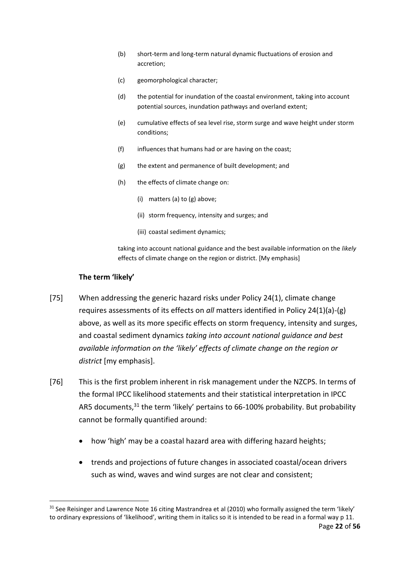- (b) short-term and long-term natural dynamic fluctuations of erosion and accretion;
- (c) geomorphological character;
- (d) the potential for inundation of the coastal environment, taking into account potential sources, inundation pathways and overland extent;
- (e) cumulative effects of sea level rise, storm surge and wave height under storm conditions;
- (f) influences that humans had or are having on the coast;
- (g) the extent and permanence of built development; and
- (h) the effects of climate change on:
	- (i) matters (a) to (g) above;
	- (ii) storm frequency, intensity and surges; and
	- (iii) coastal sediment dynamics;

taking into account national guidance and the best available information on the *likely* effects of climate change on the region or district. [My emphasis]

#### **The term 'likely'**

- [75] When addressing the generic hazard risks under Policy 24(1), climate change requires assessments of its effects on *all* matters identified in Policy 24(1)(a)-(g) above, as well as its more specific effects on storm frequency, intensity and surges, and coastal sediment dynamics *taking into account national guidance and best available information on the 'likely' effects of climate change on the region or district* [my emphasis].
- [76] This is the first problem inherent in risk management under the NZCPS. In terms of the formal IPCC likelihood statements and their statistical interpretation in IPCC AR5 documents,<sup>31</sup> the term 'likely' pertains to 66-100% probability. But probability cannot be formally quantified around:
	- how 'high' may be a coastal hazard area with differing hazard heights;
	- trends and projections of future changes in associated coastal/ocean drivers such as wind, waves and wind surges are not clear and consistent;

Page **22** of **56**  $31$  See Reisinger and Lawrence Note 16 citing Mastrandrea et al (2010) who formally assigned the term 'likely' to ordinary expressions of 'likelihood', writing them in italics so it is intended to be read in a formal way p 11.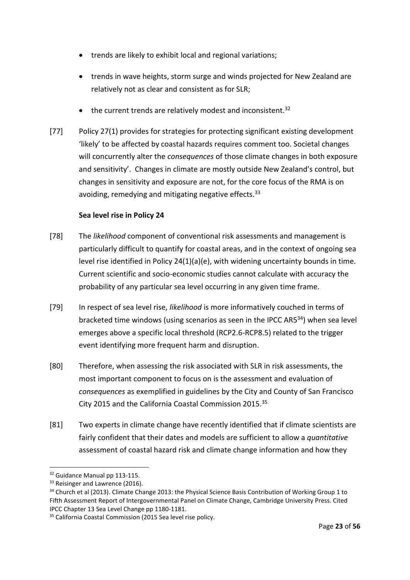- trends are likely to exhibit local and regional variations;
- trends in wave heights, storm surge and winds projected for New Zealand are relatively not as clear and consistent as for SLR;
- $\bullet$  the current trends are relatively modest and inconsistent.<sup>32</sup>
- [77] Policy 27(1) provides for strategies for protecting significant existing development 'likely' to be affected by coastal hazards requires comment too. Societal changes will concurrently alter the *consequences* of those climate changes in both exposure and sensitivity'. Changes in climate are mostly outside New Zealand's control, but changes in sensitivity and exposure are not, for the core focus of the RMA is on avoiding, remedying and mitigating negative effects.<sup>33</sup>

# **Sea level rise in Policy 24**

- [78] The *likelihood* component of conventional risk assessments and management is particularly difficult to quantify for coastal areas, and in the context of ongoing sea level rise identified in Policy 24(1)(a)(e), with widening uncertainty bounds in time. Current scientific and socio-economic studies cannot calculate with accuracy the probability of any particular sea level occurring in any given time frame.
- [79] In respect of sea level rise, *likelihood* is more informatively couched in terms of bracketed time windows (using scenarios as seen in the IPCC AR5<sup>34</sup>) when sea level emerges above a specific local threshold (RCP2.6-RCP8.5) related to the trigger event identifying more frequent harm and disruption.
- [80] Therefore, when assessing the risk associated with SLR in risk assessments, the most important component to focus on is the assessment and evaluation of *consequences* as exemplified in guidelines by the City and County of San Francisco City 2015 and the California Coastal Commission 2015.<sup>35</sup>
- [81] Two experts in climate change have recently identified that if climate scientists are fairly confident that their dates and models are sufficient to allow a *quantitative* assessment of coastal hazard risk and climate change information and how they

-

<sup>&</sup>lt;sup>32</sup> Guidance Manual pp 113-115.

<sup>&</sup>lt;sup>33</sup> Reisinger and Lawrence (2016).

<sup>&</sup>lt;sup>34</sup> Church et al (2013). Climate Change 2013: the Physical Science Basis Contribution of Working Group 1 to Fifth Assessment Report of Intergovernmental Panel on Climate Change, Cambridge University Press. Cited IPCC Chapter 13 Sea Level Change pp 1180-1181.

<sup>&</sup>lt;sup>35</sup> California Coastal Commission (2015 Sea level rise policy.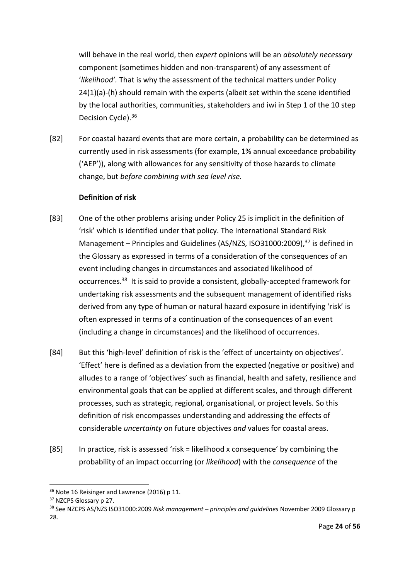will behave in the real world, then *expert* opinions will be an *absolutely necessary* component (sometimes hidden and non-transparent) of any assessment of '*likelihood'.* That is why the assessment of the technical matters under Policy 24(1)(a)-(h) should remain with the experts (albeit set within the scene identified by the local authorities, communities, stakeholders and iwi in Step 1 of the 10 step Decision Cycle).<sup>36</sup>

[82] For coastal hazard events that are more certain, a probability can be determined as currently used in risk assessments (for example, 1% annual exceedance probability ('AEP')), along with allowances for any sensitivity of those hazards to climate change, but *before combining with sea level rise.* 

### **Definition of risk**

- [83] One of the other problems arising under Policy 25 is implicit in the definition of 'risk' which is identified under that policy. The International Standard Risk Management – Principles and Guidelines (AS/NZS, ISO31000:2009),<sup>37</sup> is defined in the Glossary as expressed in terms of a consideration of the consequences of an event including changes in circumstances and associated likelihood of occurrences.<sup>38</sup> It is said to provide a consistent, globally-accepted framework for undertaking risk assessments and the subsequent management of identified risks derived from any type of human or natural hazard exposure in identifying 'risk' is often expressed in terms of a continuation of the consequences of an event (including a change in circumstances) and the likelihood of occurrences.
- [84] But this 'high-level' definition of risk is the 'effect of uncertainty on objectives'. 'Effect' here is defined as a deviation from the expected (negative or positive) and alludes to a range of 'objectives' such as financial, health and safety, resilience and environmental goals that can be applied at different scales, and through different processes, such as strategic, regional, organisational, or project levels. So this definition of risk encompasses understanding and addressing the effects of considerable *uncertainty* on future objectives *and* values for coastal areas.
- [85] In practice, risk is assessed 'risk = likelihood x consequence' by combining the probability of an impact occurring (or *likelihood*) with the *consequence* of the

<sup>&</sup>lt;sup>36</sup> Note 16 Reisinger and Lawrence (2016) p 11.

<sup>&</sup>lt;sup>37</sup> NZCPS Glossary p 27.

<sup>38</sup> See NZCPS AS/NZS ISO31000:2009 *Risk management – principles and guidelines* November 2009 Glossary p 28.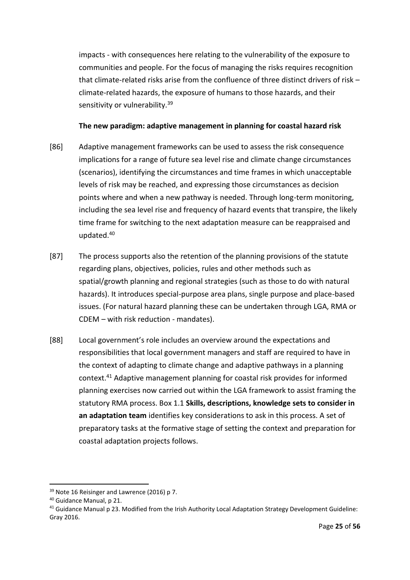impacts - with consequences here relating to the vulnerability of the exposure to communities and people. For the focus of managing the risks requires recognition that climate-related risks arise from the confluence of three distinct drivers of risk – climate-related hazards, the exposure of humans to those hazards, and their sensitivity or vulnerability.<sup>39</sup>

### **The new paradigm: adaptive management in planning for coastal hazard risk**

- [86] Adaptive management frameworks can be used to assess the risk consequence implications for a range of future sea level rise and climate change circumstances (scenarios), identifying the circumstances and time frames in which unacceptable levels of risk may be reached, and expressing those circumstances as decision points where and when a new pathway is needed. Through long-term monitoring, including the sea level rise and frequency of hazard events that transpire, the likely time frame for switching to the next adaptation measure can be reappraised and updated.<sup>40</sup>
- [87] The process supports also the retention of the planning provisions of the statute regarding plans, objectives, policies, rules and other methods such as spatial/growth planning and regional strategies (such as those to do with natural hazards). It introduces special-purpose area plans, single purpose and place-based issues. (For natural hazard planning these can be undertaken through LGA, RMA or CDEM – with risk reduction - mandates).
- [88] Local government's role includes an overview around the expectations and responsibilities that local government managers and staff are required to have in the context of adapting to climate change and adaptive pathways in a planning context.<sup>41</sup> Adaptive management planning for coastal risk provides for informed planning exercises now carried out within the LGA framework to assist framing the statutory RMA process. Box 1.1 **Skills, descriptions, knowledge sets to consider in an adaptation team** identifies key considerations to ask in this process. A set of preparatory tasks at the formative stage of setting the context and preparation for coastal adaptation projects follows.

<sup>&</sup>lt;sup>39</sup> Note 16 Reisinger and Lawrence (2016) p 7.

<sup>40</sup> Guidance Manual, p 21.

<sup>&</sup>lt;sup>41</sup> Guidance Manual p 23. Modified from the Irish Authority Local Adaptation Strategy Development Guideline: Gray 2016.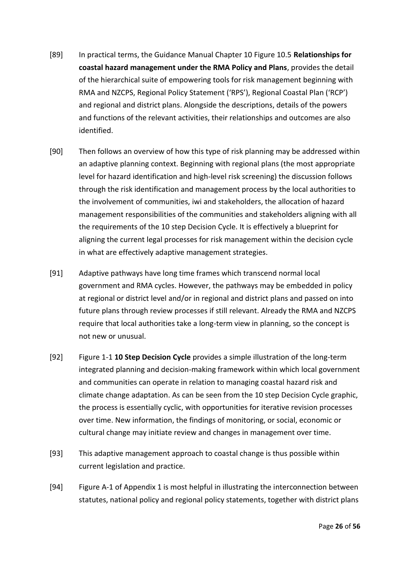- [89] In practical terms, the Guidance Manual Chapter 10 Figure 10.5 **Relationships for coastal hazard management under the RMA Policy and Plans**, provides the detail of the hierarchical suite of empowering tools for risk management beginning with RMA and NZCPS, Regional Policy Statement ('RPS'), Regional Coastal Plan ('RCP') and regional and district plans. Alongside the descriptions, details of the powers and functions of the relevant activities, their relationships and outcomes are also identified.
- [90] Then follows an overview of how this type of risk planning may be addressed within an adaptive planning context. Beginning with regional plans (the most appropriate level for hazard identification and high-level risk screening) the discussion follows through the risk identification and management process by the local authorities to the involvement of communities, iwi and stakeholders, the allocation of hazard management responsibilities of the communities and stakeholders aligning with all the requirements of the 10 step Decision Cycle. It is effectively a blueprint for aligning the current legal processes for risk management within the decision cycle in what are effectively adaptive management strategies.
- [91] Adaptive pathways have long time frames which transcend normal local government and RMA cycles. However, the pathways may be embedded in policy at regional or district level and/or in regional and district plans and passed on into future plans through review processes if still relevant. Already the RMA and NZCPS require that local authorities take a long-term view in planning, so the concept is not new or unusual.
- [92] Figure 1-1 **10 Step Decision Cycle** provides a simple illustration of the long-term integrated planning and decision-making framework within which local government and communities can operate in relation to managing coastal hazard risk and climate change adaptation. As can be seen from the 10 step Decision Cycle graphic, the process is essentially cyclic, with opportunities for iterative revision processes over time. New information, the findings of monitoring, or social, economic or cultural change may initiate review and changes in management over time.
- [93] This adaptive management approach to coastal change is thus possible within current legislation and practice.
- [94] Figure A-1 of Appendix 1 is most helpful in illustrating the interconnection between statutes, national policy and regional policy statements, together with district plans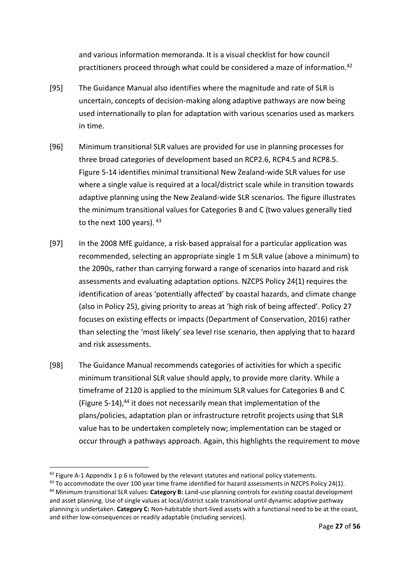and various information memoranda. It is a visual checklist for how council practitioners proceed through what could be considered a maze of information.<sup>42</sup>

- [95] The Guidance Manual also identifies where the magnitude and rate of SLR is uncertain, concepts of decision-making along adaptive pathways are now being used internationally to plan for adaptation with various scenarios used as markers in time.
- [96] Minimum transitional SLR values are provided for use in planning processes for three broad categories of development based on RCP2.6, RCP4.5 and RCP8.5. Figure 5-14 identifies minimal transitional New Zealand-wide SLR values for use where a single value is required at a local/district scale while in transition towards adaptive planning using the New Zealand-wide SLR scenarios. The figure illustrates the minimum transitional values for Categories B and C (two values generally tied to the next 100 years). 43
- [97] In the 2008 MfE guidance, a risk-based appraisal for a particular application was recommended, selecting an appropriate single 1 m SLR value (above a minimum) to the 2090s, rather than carrying forward a range of scenarios into hazard and risk assessments and evaluating adaptation options. NZCPS Policy 24(1) requires the identification of areas 'potentially affected' by coastal hazards, and climate change (also in Policy 25), giving priority to areas at 'high risk of being affected'. Policy 27 focuses on existing effects or impacts (Department of Conservation, 2016) rather than selecting the 'most likely' sea level rise scenario, then applying that to hazard and risk assessments.
- [98] The Guidance Manual recommends categories of activities for which a specific minimum transitional SLR value should apply, to provide more clarity. While a timeframe of 2120 is applied to the minimum SLR values for Categories B and C (Figure 5-14), $44$  it does not necessarily mean that implementation of the plans/policies, adaptation plan or infrastructure retrofit projects using that SLR value has to be undertaken completely now; implementation can be staged or occur through a pathways approach. Again, this highlights the requirement to move

-

 $42$  Figure A-1 Appendix 1 p 6 is followed by the relevant statutes and national policy statements.

<sup>&</sup>lt;sup>43</sup> To accommodate the over 100 year time frame identified for hazard assessments in NZCPS Policy 24(1). <sup>44</sup> Minimum transitional SLR values: **Category B:** Land-use planning controls for *existing* coastal development and asset planning. Use of single values at local/district scale transitional until dynamic adaptive pathway planning is undertaken. **Category C:** Non-habitable short-lived assets with a functional need to be at the coast, and either low-consequences or readily adaptable (including services).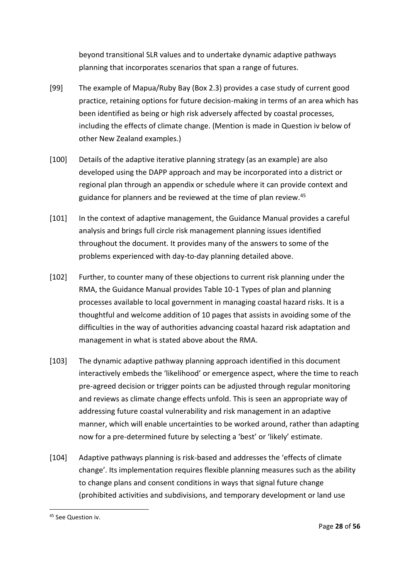beyond transitional SLR values and to undertake dynamic adaptive pathways planning that incorporates scenarios that span a range of futures.

- [99] The example of Mapua/Ruby Bay (Box 2.3) provides a case study of current good practice, retaining options for future decision-making in terms of an area which has been identified as being or high risk adversely affected by coastal processes, including the effects of climate change. (Mention is made in Question iv below of other New Zealand examples.)
- [100] Details of the adaptive iterative planning strategy (as an example) are also developed using the DAPP approach and may be incorporated into a district or regional plan through an appendix or schedule where it can provide context and guidance for planners and be reviewed at the time of plan review.<sup>45</sup>
- [101] In the context of adaptive management, the Guidance Manual provides a careful analysis and brings full circle risk management planning issues identified throughout the document. It provides many of the answers to some of the problems experienced with day-to-day planning detailed above.
- [102] Further, to counter many of these objections to current risk planning under the RMA, the Guidance Manual provides Table 10-1 Types of plan and planning processes available to local government in managing coastal hazard risks. It is a thoughtful and welcome addition of 10 pages that assists in avoiding some of the difficulties in the way of authorities advancing coastal hazard risk adaptation and management in what is stated above about the RMA.
- [103] The dynamic adaptive pathway planning approach identified in this document interactively embeds the 'likelihood' or emergence aspect, where the time to reach pre-agreed decision or trigger points can be adjusted through regular monitoring and reviews as climate change effects unfold. This is seen an appropriate way of addressing future coastal vulnerability and risk management in an adaptive manner, which will enable uncertainties to be worked around, rather than adapting now for a pre-determined future by selecting a 'best' or 'likely' estimate.
- [104] Adaptive pathways planning is risk-based and addresses the 'effects of climate change'. Its implementation requires flexible planning measures such as the ability to change plans and consent conditions in ways that signal future change (prohibited activities and subdivisions, and temporary development or land use

<sup>&</sup>lt;sup>45</sup> See Question iv.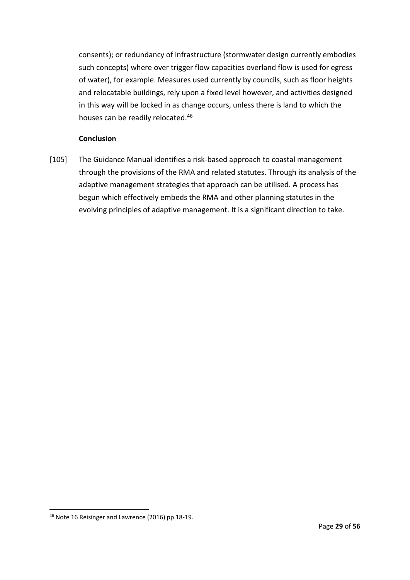consents); or redundancy of infrastructure (stormwater design currently embodies such concepts) where over trigger flow capacities overland flow is used for egress of water), for example. Measures used currently by councils, such as floor heights and relocatable buildings, rely upon a fixed level however, and activities designed in this way will be locked in as change occurs, unless there is land to which the houses can be readily relocated.<sup>46</sup>

# **Conclusion**

[105] The Guidance Manual identifies a risk-based approach to coastal management through the provisions of the RMA and related statutes. Through its analysis of the adaptive management strategies that approach can be utilised. A process has begun which effectively embeds the RMA and other planning statutes in the evolving principles of adaptive management. It is a significant direction to take.

<sup>46</sup> Note 16 Reisinger and Lawrence (2016) pp 18-19.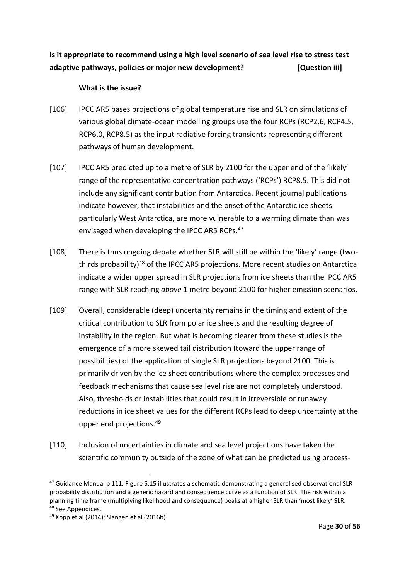**Is it appropriate to recommend using a high level scenario of sea level rise to stress test adaptive pathways, policies or major new development? [Question iii]**

### **What is the issue?**

- [106] IPCC AR5 bases projections of global temperature rise and SLR on simulations of various global climate-ocean modelling groups use the four RCPs (RCP2.6, RCP4.5, RCP6.0, RCP8.5) as the input radiative forcing transients representing different pathways of human development.
- [107] IPCC AR5 predicted up to a metre of SLR by 2100 for the upper end of the 'likely' range of the representative concentration pathways ('RCPs') RCP8.5. This did not include any significant contribution from Antarctica. Recent journal publications indicate however, that instabilities and the onset of the Antarctic ice sheets particularly West Antarctica, are more vulnerable to a warming climate than was envisaged when developing the IPCC AR5 RCPs.<sup>47</sup>
- [108] There is thus ongoing debate whether SLR will still be within the 'likely' range (twothirds probability)<sup>48</sup> of the IPCC AR5 projections. More recent studies on Antarctica indicate a wider upper spread in SLR projections from ice sheets than the IPCC AR5 range with SLR reaching *above* 1 metre beyond 2100 for higher emission scenarios.
- [109] Overall, considerable (deep) uncertainty remains in the timing and extent of the critical contribution to SLR from polar ice sheets and the resulting degree of instability in the region. But what is becoming clearer from these studies is the emergence of a more skewed tail distribution (toward the upper range of possibilities) of the application of single SLR projections beyond 2100. This is primarily driven by the ice sheet contributions where the complex processes and feedback mechanisms that cause sea level rise are not completely understood. Also, thresholds or instabilities that could result in irreversible or runaway reductions in ice sheet values for the different RCPs lead to deep uncertainty at the upper end projections.<sup>49</sup>
- [110] Inclusion of uncertainties in climate and sea level projections have taken the scientific community outside of the zone of what can be predicted using process-

<sup>&</sup>lt;sup>47</sup> Guidance Manual p 111. Figure 5.15 illustrates a schematic demonstrating a generalised observational SLR probability distribution and a generic hazard and consequence curve as a function of SLR. The risk within a planning time frame (multiplying likelihood and consequence) peaks at a higher SLR than 'most likely' SLR. <sup>48</sup> See Appendices.

 $49$  Kopp et al (2014); Slangen et al (2016b).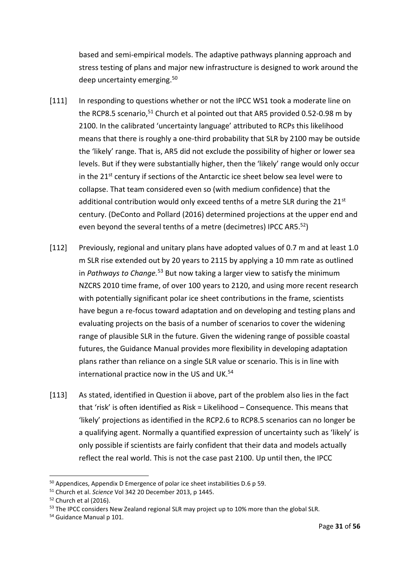based and semi-empirical models. The adaptive pathways planning approach and stress testing of plans and major new infrastructure is designed to work around the deep uncertainty emerging.<sup>50</sup>

- [111] In responding to questions whether or not the IPCC WS1 took a moderate line on the RCP8.5 scenario,<sup>51</sup> Church et al pointed out that AR5 provided 0.52-0.98 m by 2100. In the calibrated 'uncertainty language' attributed to RCPs this likelihood means that there is roughly a one-third probability that SLR by 2100 may be outside the 'likely' range. That is, AR5 did not exclude the possibility of higher or lower sea levels. But if they were substantially higher, then the 'likely' range would only occur in the 21<sup>st</sup> century if sections of the Antarctic ice sheet below sea level were to collapse. That team considered even so (with medium confidence) that the additional contribution would only exceed tenths of a metre SLR during the  $21^{st}$ century. (DeConto and Pollard (2016) determined projections at the upper end and even beyond the several tenths of a metre (decimetres) IPCC AR5.<sup>52</sup>)
- [112] Previously, regional and unitary plans have adopted values of 0.7 m and at least 1.0 m SLR rise extended out by 20 years to 2115 by applying a 10 mm rate as outlined in *Pathways to Change.*<sup>53</sup> But now taking a larger view to satisfy the minimum NZCRS 2010 time frame, of over 100 years to 2120, and using more recent research with potentially significant polar ice sheet contributions in the frame, scientists have begun a re-focus toward adaptation and on developing and testing plans and evaluating projects on the basis of a number of scenarios to cover the widening range of plausible SLR in the future. Given the widening range of possible coastal futures, the Guidance Manual provides more flexibility in developing adaptation plans rather than reliance on a single SLR value or scenario. This is in line with international practice now in the US and UK.<sup>54</sup>
- [113] As stated, identified in Question ii above, part of the problem also lies in the fact that 'risk' is often identified as Risk = Likelihood – Consequence. This means that 'likely' projections as identified in the RCP2.6 to RCP8.5 scenarios can no longer be a qualifying agent. Normally a quantified expression of uncertainty such as 'likely' is only possible if scientists are fairly confident that their data and models actually reflect the real world. This is not the case past 2100. Up until then, the IPCC

<sup>50</sup> Appendices, Appendix D Emergence of polar ice sheet instabilities D.6 p 59.

<sup>51</sup> Church et al. *Science* Vol 342 20 December 2013, p 1445.

 $52$  Church et al (2016).

<sup>&</sup>lt;sup>53</sup> The IPCC considers New Zealand regional SLR may project up to 10% more than the global SLR.

<sup>&</sup>lt;sup>54</sup> Guidance Manual p 101.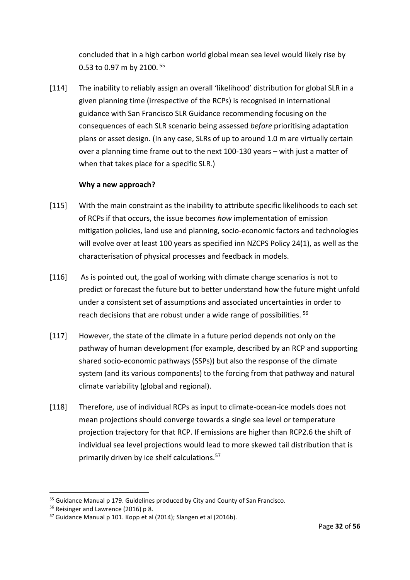concluded that in a high carbon world global mean sea level would likely rise by 0.53 to 0.97 m by 2100. <sup>55</sup>

[114] The inability to reliably assign an overall 'likelihood' distribution for global SLR in a given planning time (irrespective of the RCPs) is recognised in international guidance with San Francisco SLR Guidance recommending focusing on the consequences of each SLR scenario being assessed *before* prioritising adaptation plans or asset design. (In any case, SLRs of up to around 1.0 m are virtually certain over a planning time frame out to the next 100-130 years – with just a matter of when that takes place for a specific SLR.)

### **Why a new approach?**

- [115] With the main constraint as the inability to attribute specific likelihoods to each set of RCPs if that occurs, the issue becomes *how* implementation of emission mitigation policies, land use and planning, socio-economic factors and technologies will evolve over at least 100 years as specified inn NZCPS Policy 24(1), as well as the characterisation of physical processes and feedback in models.
- [116] As is pointed out, the goal of working with climate change scenarios is not to predict or forecast the future but to better understand how the future might unfold under a consistent set of assumptions and associated uncertainties in order to reach decisions that are robust under a wide range of possibilities.<sup>56</sup>
- [117] However, the state of the climate in a future period depends not only on the pathway of human development (for example, described by an RCP and supporting shared socio-economic pathways (SSPs)) but also the response of the climate system (and its various components) to the forcing from that pathway and natural climate variability (global and regional).
- [118] Therefore, use of individual RCPs as input to climate-ocean-ice models does not mean projections should converge towards a single sea level or temperature projection trajectory for that RCP. If emissions are higher than RCP2.6 the shift of individual sea level projections would lead to more skewed tail distribution that is primarily driven by ice shelf calculations.<sup>57</sup>

<sup>55</sup> Guidance Manual p 179. Guidelines produced by City and County of San Francisco.

<sup>&</sup>lt;sup>56</sup> Reisinger and Lawrence (2016) p 8.

<sup>57</sup> Guidance Manual p 101. Kopp et al (2014); Slangen et al (2016b).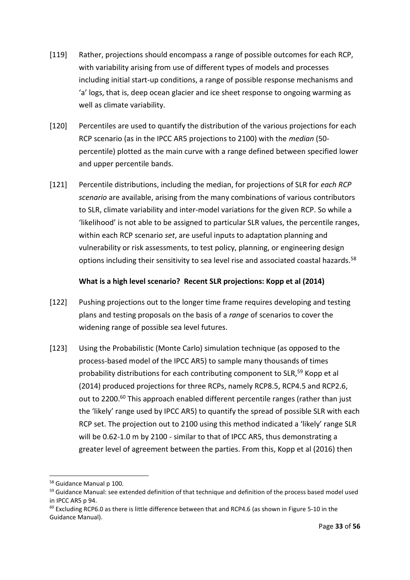- [119] Rather, projections should encompass a range of possible outcomes for each RCP, with variability arising from use of different types of models and processes including initial start-up conditions, a range of possible response mechanisms and 'a' logs, that is, deep ocean glacier and ice sheet response to ongoing warming as well as climate variability.
- [120] Percentiles are used to quantify the distribution of the various projections for each RCP scenario (as in the IPCC AR5 projections to 2100) with the *median* (50 percentile) plotted as the main curve with a range defined between specified lower and upper percentile bands.
- [121] Percentile distributions, including the median, for projections of SLR for *each RCP scenario* are available, arising from the many combinations of various contributors to SLR, climate variability and inter-model variations for the given RCP. So while a 'likelihood' is not able to be assigned to particular SLR values, the percentile ranges, within each RCP scenario *set*, are useful inputs to adaptation planning and vulnerability or risk assessments, to test policy, planning, or engineering design options including their sensitivity to sea level rise and associated coastal hazards.<sup>58</sup>

### **What is a high level scenario? Recent SLR projections: Kopp et al (2014)**

- [122] Pushing projections out to the longer time frame requires developing and testing plans and testing proposals on the basis of a *range* of scenarios to cover the widening range of possible sea level futures.
- [123] Using the Probabilistic (Monte Carlo) simulation technique (as opposed to the process-based model of the IPCC AR5) to sample many thousands of times probability distributions for each contributing component to SLR,<sup>59</sup> Kopp et al (2014) produced projections for three RCPs, namely RCP8.5, RCP4.5 and RCP2.6, out to 2200.<sup>60</sup> This approach enabled different percentile ranges (rather than just the 'likely' range used by IPCC AR5) to quantify the spread of possible SLR with each RCP set. The projection out to 2100 using this method indicated a 'likely' range SLR will be 0.62-1.0 m by 2100 - similar to that of IPCC AR5, thus demonstrating a greater level of agreement between the parties. From this, Kopp et al (2016) then

<sup>58</sup> Guidance Manual p 100.

<sup>&</sup>lt;sup>59</sup> Guidance Manual: see extended definition of that technique and definition of the process based model used in IPCC AR5 p 94.

 $60$  Excluding RCP6.0 as there is little difference between that and RCP4.6 (as shown in Figure 5-10 in the Guidance Manual).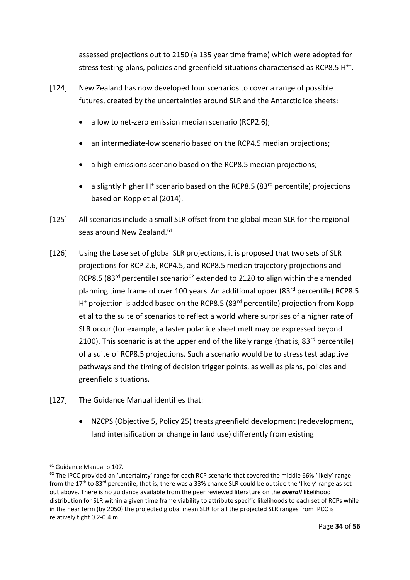assessed projections out to 2150 (a 135 year time frame) which were adopted for stress testing plans, policies and greenfield situations characterised as RCP8.5 H<sup>++</sup>.

- [124] New Zealand has now developed four scenarios to cover a range of possible futures, created by the uncertainties around SLR and the Antarctic ice sheets:
	- a low to net-zero emission median scenario (RCP2.6);
	- an intermediate-low scenario based on the RCP4.5 median projections;
	- a high-emissions scenario based on the RCP8.5 median projections;
	- a slightly higher H<sup>+</sup> scenario based on the RCP8.5 (83<sup>rd</sup> percentile) projections based on Kopp et al (2014).
- [125] All scenarios include a small SLR offset from the global mean SLR for the regional seas around New Zealand.<sup>61</sup>
- [126] Using the base set of global SLR projections, it is proposed that two sets of SLR projections for RCP 2.6, RCP4.5, and RCP8.5 median trajectory projections and RCP8.5 (83<sup>rd</sup> percentile) scenario<sup>62</sup> extended to 2120 to align within the amended planning time frame of over 100 years. An additional upper (83<sup>rd</sup> percentile) RCP8.5 H<sup>+</sup> projection is added based on the RCP8.5 (83<sup>rd</sup> percentile) projection from Kopp et al to the suite of scenarios to reflect a world where surprises of a higher rate of SLR occur (for example, a faster polar ice sheet melt may be expressed beyond 2100). This scenario is at the upper end of the likely range (that is,  $83^{rd}$  percentile) of a suite of RCP8.5 projections. Such a scenario would be to stress test adaptive pathways and the timing of decision trigger points, as well as plans, policies and greenfield situations.
- [127] The Guidance Manual identifies that:
	- NZCPS (Objective 5, Policy 25) treats greenfield development (redevelopment, land intensification or change in land use) differently from existing

<sup>1</sup> <sup>61</sup> Guidance Manual p 107.

<sup>62</sup> The IPCC provided an 'uncertainty' range for each RCP scenario that covered the middle 66% 'likely' range from the  $17<sup>th</sup>$  to  $83<sup>rd</sup>$  percentile, that is, there was a 33% chance SLR could be outside the 'likely' range as set out above. There is no guidance available from the peer reviewed literature on the *overall* likelihood distribution for SLR within a given time frame viability to attribute specific likelihoods to each set of RCPs while in the near term (by 2050) the projected global mean SLR for all the projected SLR ranges from IPCC is relatively tight 0.2-0.4 m.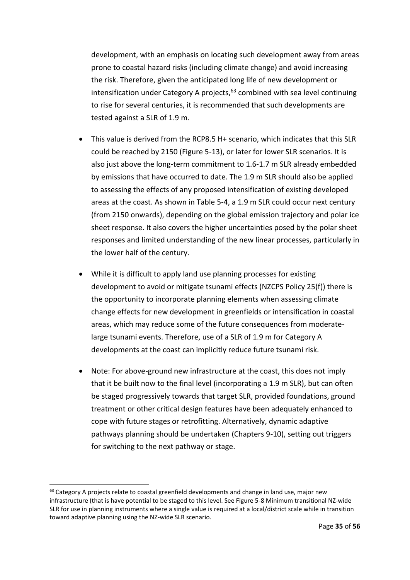development, with an emphasis on locating such development away from areas prone to coastal hazard risks (including climate change) and avoid increasing the risk. Therefore, given the anticipated long life of new development or intensification under Category A projects, $63$  combined with sea level continuing to rise for several centuries, it is recommended that such developments are tested against a SLR of 1.9 m.

- This value is derived from the RCP8.5 H+ scenario, which indicates that this SLR could be reached by 2150 (Figure 5-13), or later for lower SLR scenarios. It is also just above the long-term commitment to 1.6-1.7 m SLR already embedded by emissions that have occurred to date. The 1.9 m SLR should also be applied to assessing the effects of any proposed intensification of existing developed areas at the coast. As shown in Table 5-4, a 1.9 m SLR could occur next century (from 2150 onwards), depending on the global emission trajectory and polar ice sheet response. It also covers the higher uncertainties posed by the polar sheet responses and limited understanding of the new linear processes, particularly in the lower half of the century.
- While it is difficult to apply land use planning processes for existing development to avoid or mitigate tsunami effects (NZCPS Policy 25(f)) there is the opportunity to incorporate planning elements when assessing climate change effects for new development in greenfields or intensification in coastal areas, which may reduce some of the future consequences from moderatelarge tsunami events. Therefore, use of a SLR of 1.9 m for Category A developments at the coast can implicitly reduce future tsunami risk.
- Note: For above-ground new infrastructure at the coast, this does not imply that it be built now to the final level (incorporating a 1.9 m SLR), but can often be staged progressively towards that target SLR, provided foundations, ground treatment or other critical design features have been adequately enhanced to cope with future stages or retrofitting. Alternatively, dynamic adaptive pathways planning should be undertaken (Chapters 9-10), setting out triggers for switching to the next pathway or stage.

 $63$  Category A projects relate to coastal greenfield developments and change in land use, major new infrastructure (that is have potential to be staged to this level. See Figure 5-8 Minimum transitional NZ-wide SLR for use in planning instruments where a single value is required at a local/district scale while in transition toward adaptive planning using the NZ-wide SLR scenario.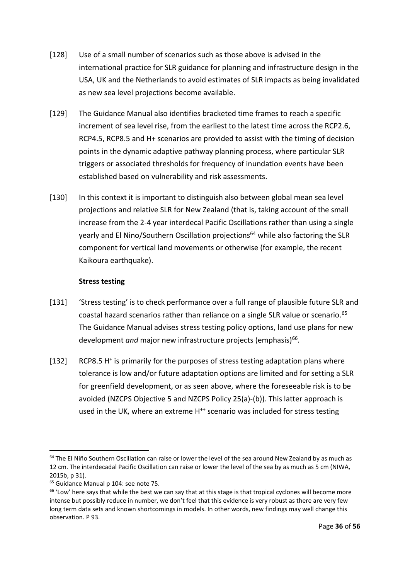- [128] Use of a small number of scenarios such as those above is advised in the international practice for SLR guidance for planning and infrastructure design in the USA, UK and the Netherlands to avoid estimates of SLR impacts as being invalidated as new sea level projections become available.
- [129] The Guidance Manual also identifies bracketed time frames to reach a specific increment of sea level rise, from the earliest to the latest time across the RCP2.6, RCP4.5, RCP8.5 and H+ scenarios are provided to assist with the timing of decision points in the dynamic adaptive pathway planning process, where particular SLR triggers or associated thresholds for frequency of inundation events have been established based on vulnerability and risk assessments.
- [130] In this context it is important to distinguish also between global mean sea level projections and relative SLR for New Zealand (that is, taking account of the small increase from the 2-4 year interdecal Pacific Oscillations rather than using a single yearly and El Nino/Southern Oscillation projections<sup>64</sup> while also factoring the SLR component for vertical land movements or otherwise (for example, the recent Kaikoura earthquake).

### **Stress testing**

- [131] 'Stress testing' is to check performance over a full range of plausible future SLR and coastal hazard scenarios rather than reliance on a single SLR value or scenario.<sup>65</sup> The Guidance Manual advises stress testing policy options, land use plans for new development *and* major new infrastructure projects (emphasis)<sup>66</sup>.
- [132] RCP8.5 H<sup>+</sup> is primarily for the purposes of stress testing adaptation plans where tolerance is low and/or future adaptation options are limited and for setting a SLR for greenfield development, or as seen above, where the foreseeable risk is to be avoided (NZCPS Objective 5 and NZCPS Policy 25(a)-(b)). This latter approach is used in the UK, where an extreme H<sup>++</sup> scenario was included for stress testing

<sup>-</sup><sup>64</sup> The El Niño Southern Oscillation can raise or lower the level of the sea around New Zealand by as much as 12 cm. The interdecadal Pacific Oscillation can raise or lower the level of the sea by as much as 5 cm (NIWA, 2015b, p 31).

<sup>65</sup> Guidance Manual p 104: see note 75.

 $66$  'Low' here says that while the best we can say that at this stage is that tropical cyclones will become more intense but possibly reduce in number, we don't feel that this evidence is very robust as there are very few long term data sets and known shortcomings in models. In other words, new findings may well change this observation. P 93.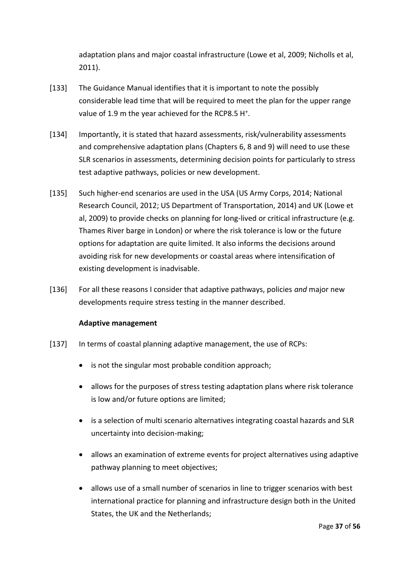adaptation plans and major coastal infrastructure (Lowe et al, 2009; Nicholls et al, 2011).

- [133] The Guidance Manual identifies that it is important to note the possibly considerable lead time that will be required to meet the plan for the upper range value of 1.9 m the year achieved for the RCP8.5 H<sup>+</sup>.
- [134] Importantly, it is stated that hazard assessments, risk/vulnerability assessments and comprehensive adaptation plans (Chapters 6, 8 and 9) will need to use these SLR scenarios in assessments, determining decision points for particularly to stress test adaptive pathways, policies or new development.
- [135] Such higher-end scenarios are used in the USA (US Army Corps, 2014; National Research Council, 2012; US Department of Transportation, 2014) and UK (Lowe et al, 2009) to provide checks on planning for long-lived or critical infrastructure (e.g. Thames River barge in London) or where the risk tolerance is low or the future options for adaptation are quite limited. It also informs the decisions around avoiding risk for new developments or coastal areas where intensification of existing development is inadvisable.
- [136] For all these reasons I consider that adaptive pathways, policies *and* major new developments require stress testing in the manner described.

# **Adaptive management**

- [137] In terms of coastal planning adaptive management, the use of RCPs:
	- is not the singular most probable condition approach;
	- allows for the purposes of stress testing adaptation plans where risk tolerance is low and/or future options are limited;
	- is a selection of multi scenario alternatives integrating coastal hazards and SLR uncertainty into decision-making;
	- allows an examination of extreme events for project alternatives using adaptive pathway planning to meet objectives;
	- allows use of a small number of scenarios in line to trigger scenarios with best international practice for planning and infrastructure design both in the United States, the UK and the Netherlands;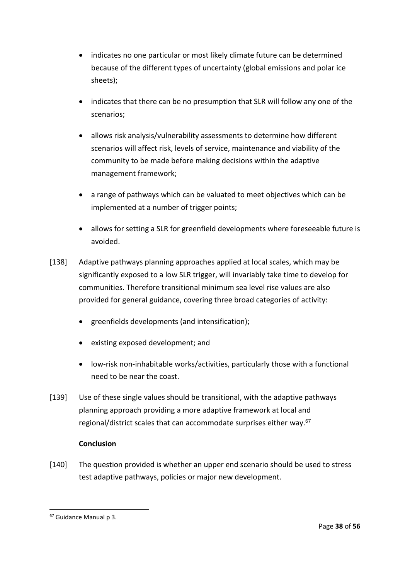- indicates no one particular or most likely climate future can be determined because of the different types of uncertainty (global emissions and polar ice sheets);
- indicates that there can be no presumption that SLR will follow any one of the scenarios;
- allows risk analysis/vulnerability assessments to determine how different scenarios will affect risk, levels of service, maintenance and viability of the community to be made before making decisions within the adaptive management framework;
- a range of pathways which can be valuated to meet objectives which can be implemented at a number of trigger points;
- allows for setting a SLR for greenfield developments where foreseeable future is avoided.
- [138] Adaptive pathways planning approaches applied at local scales, which may be significantly exposed to a low SLR trigger, will invariably take time to develop for communities. Therefore transitional minimum sea level rise values are also provided for general guidance, covering three broad categories of activity:
	- greenfields developments (and intensification);
	- existing exposed development; and
	- low-risk non-inhabitable works/activities, particularly those with a functional need to be near the coast.
- [139] Use of these single values should be transitional, with the adaptive pathways planning approach providing a more adaptive framework at local and regional/district scales that can accommodate surprises either way.<sup>67</sup>

# **Conclusion**

[140] The question provided is whether an upper end scenario should be used to stress test adaptive pathways, policies or major new development.

<sup>67</sup> Guidance Manual p 3.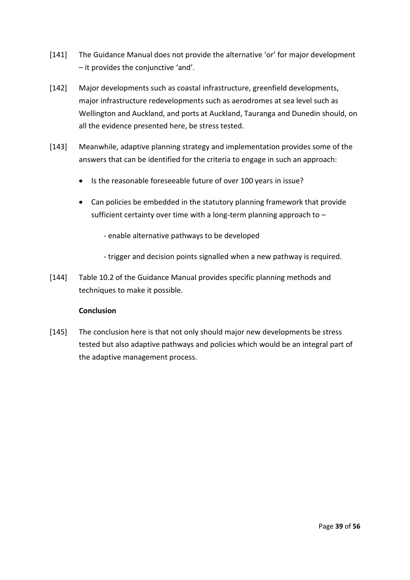- [141] The Guidance Manual does not provide the alternative 'or' for major development – it provides the conjunctive 'and'.
- [142] Major developments such as coastal infrastructure, greenfield developments, major infrastructure redevelopments such as aerodromes at sea level such as Wellington and Auckland, and ports at Auckland, Tauranga and Dunedin should, on all the evidence presented here, be stress tested.
- [143] Meanwhile, adaptive planning strategy and implementation provides some of the answers that can be identified for the criteria to engage in such an approach:
	- Is the reasonable foreseeable future of over 100 years in issue?
	- Can policies be embedded in the statutory planning framework that provide sufficient certainty over time with a long-term planning approach to –
		- enable alternative pathways to be developed
		- trigger and decision points signalled when a new pathway is required.
- [144] Table 10.2 of the Guidance Manual provides specific planning methods and techniques to make it possible.

#### **Conclusion**

[145] The conclusion here is that not only should major new developments be stress tested but also adaptive pathways and policies which would be an integral part of the adaptive management process.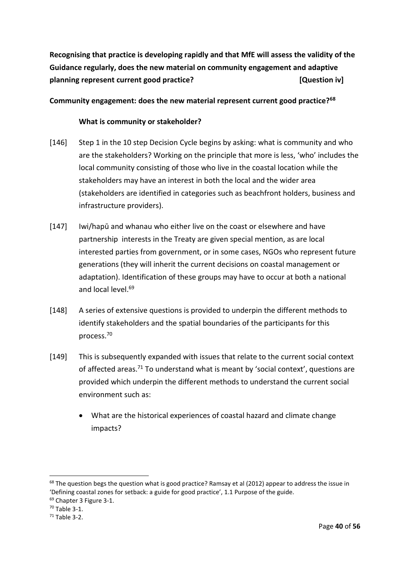**Recognising that practice is developing rapidly and that MfE will assess the validity of the Guidance regularly, does the new material on community engagement and adaptive planning represent current good practice? CONFIDENTIAL EXAMPLE EXAMPLE EXAMPLE EXAMPLE EXAMPLE EXAMPLE EXAMPLE EXAMPLE EXAMPLE EXAMPLE EXAMPLE EXAMPLE EXAMPLE EXAMPLE EXAMPLE EXAMPLE EXAMPLE EXAMPLE EXAMPLE EXAMPLE EXAM** 

# **Community engagement: does the new material represent current good practice?<sup>68</sup>**

#### **What is community or stakeholder?**

- [146] Step 1 in the 10 step Decision Cycle begins by asking: what is community and who are the stakeholders? Working on the principle that more is less, 'who' includes the local community consisting of those who live in the coastal location while the stakeholders may have an interest in both the local and the wider area (stakeholders are identified in categories such as beachfront holders, business and infrastructure providers).
- [147] Iwi/hapū and whanau who either live on the coast or elsewhere and have partnership interests in the Treaty are given special mention, as are local interested parties from government, or in some cases, NGOs who represent future generations (they will inherit the current decisions on coastal management or adaptation). Identification of these groups may have to occur at both a national and local level.<sup>69</sup>
- [148] A series of extensive questions is provided to underpin the different methods to identify stakeholders and the spatial boundaries of the participants for this process.<sup>70</sup>
- [149] This is subsequently expanded with issues that relate to the current social context of affected areas.<sup>71</sup> To understand what is meant by 'social context', questions are provided which underpin the different methods to understand the current social environment such as:
	- What are the historical experiences of coastal hazard and climate change impacts?

 $68$  The question begs the question what is good practice? Ramsay et al (2012) appear to address the issue in 'Defining coastal zones for setback: a guide for good practice', 1.1 Purpose of the guide.

<sup>&</sup>lt;sup>69</sup> Chapter 3 Figure 3-1.

 $70$  Table 3-1.

 $71$  Table 3-2.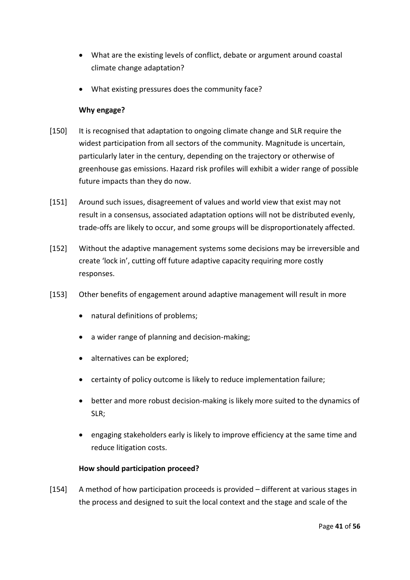- What are the existing levels of conflict, debate or argument around coastal climate change adaptation?
- What existing pressures does the community face?

### **Why engage?**

- [150] It is recognised that adaptation to ongoing climate change and SLR require the widest participation from all sectors of the community. Magnitude is uncertain, particularly later in the century, depending on the trajectory or otherwise of greenhouse gas emissions. Hazard risk profiles will exhibit a wider range of possible future impacts than they do now.
- [151] Around such issues, disagreement of values and world view that exist may not result in a consensus, associated adaptation options will not be distributed evenly, trade-offs are likely to occur, and some groups will be disproportionately affected.
- [152] Without the adaptive management systems some decisions may be irreversible and create 'lock in', cutting off future adaptive capacity requiring more costly responses.
- [153] Other benefits of engagement around adaptive management will result in more
	- natural definitions of problems;
	- a wider range of planning and decision-making;
	- alternatives can be explored;
	- certainty of policy outcome is likely to reduce implementation failure;
	- better and more robust decision-making is likely more suited to the dynamics of SLR;
	- engaging stakeholders early is likely to improve efficiency at the same time and reduce litigation costs.

# **How should participation proceed?**

[154] A method of how participation proceeds is provided – different at various stages in the process and designed to suit the local context and the stage and scale of the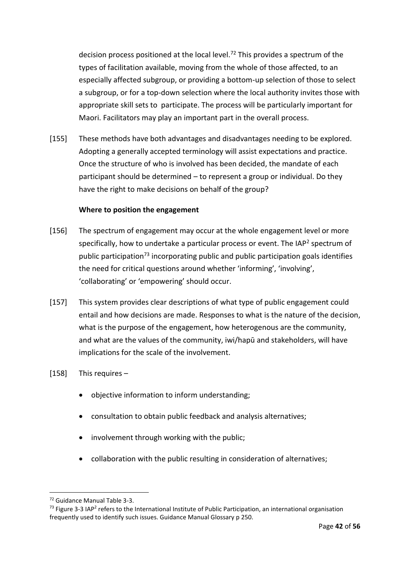decision process positioned at the local level.<sup>72</sup> This provides a spectrum of the types of facilitation available, moving from the whole of those affected, to an especially affected subgroup, or providing a bottom-up selection of those to select a subgroup, or for a top-down selection where the local authority invites those with appropriate skill sets to participate. The process will be particularly important for Maori. Facilitators may play an important part in the overall process.

[155] These methods have both advantages and disadvantages needing to be explored. Adopting a generally accepted terminology will assist expectations and practice. Once the structure of who is involved has been decided, the mandate of each participant should be determined – to represent a group or individual. Do they have the right to make decisions on behalf of the group?

### **Where to position the engagement**

- [156] The spectrum of engagement may occur at the whole engagement level or more specifically, how to undertake a particular process or event. The IAP<sup>2</sup> spectrum of public participation<sup>73</sup> incorporating public and public participation goals identifies the need for critical questions around whether 'informing', 'involving', 'collaborating' or 'empowering' should occur.
- [157] This system provides clear descriptions of what type of public engagement could entail and how decisions are made. Responses to what is the nature of the decision, what is the purpose of the engagement, how heterogenous are the community, and what are the values of the community, iwi/hapū and stakeholders, will have implications for the scale of the involvement.
- [158] This requires
	- objective information to inform understanding;
	- consultation to obtain public feedback and analysis alternatives;
	- involvement through working with the public;
	- collaboration with the public resulting in consideration of alternatives;

<sup>72</sup> Guidance Manual Table 3-3.

<sup>&</sup>lt;sup>73</sup> Figure 3-3 IAP<sup>2</sup> refers to the International Institute of Public Participation, an international organisation frequently used to identify such issues. Guidance Manual Glossary p 250.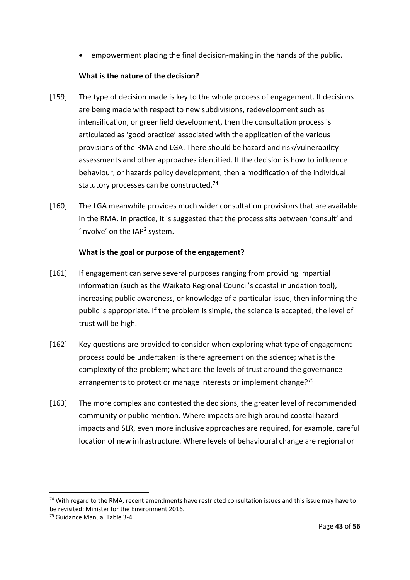empowerment placing the final decision-making in the hands of the public.

# **What is the nature of the decision?**

- [159] The type of decision made is key to the whole process of engagement. If decisions are being made with respect to new subdivisions, redevelopment such as intensification, or greenfield development, then the consultation process is articulated as 'good practice' associated with the application of the various provisions of the RMA and LGA. There should be hazard and risk/vulnerability assessments and other approaches identified. If the decision is how to influence behaviour, or hazards policy development, then a modification of the individual statutory processes can be constructed.<sup>74</sup>
- [160] The LGA meanwhile provides much wider consultation provisions that are available in the RMA. In practice, it is suggested that the process sits between 'consult' and 'involve' on the  $IAP<sup>2</sup>$  system.

### **What is the goal or purpose of the engagement?**

- [161] If engagement can serve several purposes ranging from providing impartial information (such as the Waikato Regional Council's coastal inundation tool), increasing public awareness, or knowledge of a particular issue, then informing the public is appropriate. If the problem is simple, the science is accepted, the level of trust will be high.
- [162] Key questions are provided to consider when exploring what type of engagement process could be undertaken: is there agreement on the science; what is the complexity of the problem; what are the levels of trust around the governance arrangements to protect or manage interests or implement change?<sup>75</sup>
- [163] The more complex and contested the decisions, the greater level of recommended community or public mention. Where impacts are high around coastal hazard impacts and SLR, even more inclusive approaches are required, for example, careful location of new infrastructure. Where levels of behavioural change are regional or

<sup>&</sup>lt;sup>74</sup> With regard to the RMA, recent amendments have restricted consultation issues and this issue may have to be revisited: Minister for the Environment 2016.

<sup>75</sup> Guidance Manual Table 3-4.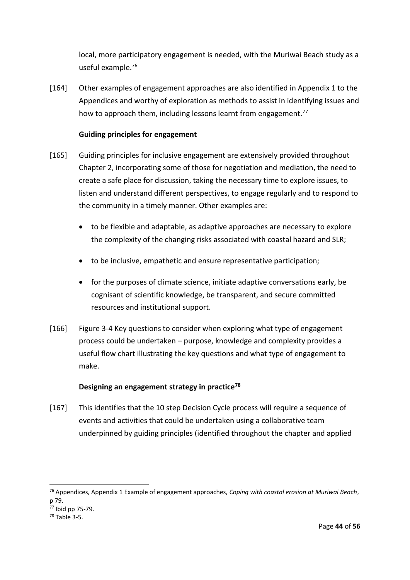local, more participatory engagement is needed, with the Muriwai Beach study as a useful example.<sup>76</sup>

[164] Other examples of engagement approaches are also identified in Appendix 1 to the Appendices and worthy of exploration as methods to assist in identifying issues and how to approach them, including lessons learnt from engagement.<sup>77</sup>

### **Guiding principles for engagement**

- [165] Guiding principles for inclusive engagement are extensively provided throughout Chapter 2, incorporating some of those for negotiation and mediation, the need to create a safe place for discussion, taking the necessary time to explore issues, to listen and understand different perspectives, to engage regularly and to respond to the community in a timely manner. Other examples are:
	- to be flexible and adaptable, as adaptive approaches are necessary to explore the complexity of the changing risks associated with coastal hazard and SLR;
	- to be inclusive, empathetic and ensure representative participation;
	- for the purposes of climate science, initiate adaptive conversations early, be cognisant of scientific knowledge, be transparent, and secure committed resources and institutional support.
- [166] Figure 3-4 Key questions to consider when exploring what type of engagement process could be undertaken – purpose, knowledge and complexity provides a useful flow chart illustrating the key questions and what type of engagement to make.

# **Designing an engagement strategy in practice<sup>78</sup>**

[167] This identifies that the 10 step Decision Cycle process will require a sequence of events and activities that could be undertaken using a collaborative team underpinned by guiding principles (identified throughout the chapter and applied

<sup>76</sup> Appendices, Appendix 1 Example of engagement approaches, *Coping with coastal erosion at Muriwai Beach*, p 79.

<sup>77</sup> Ibid pp 75-79.

<sup>78</sup> Table 3-5.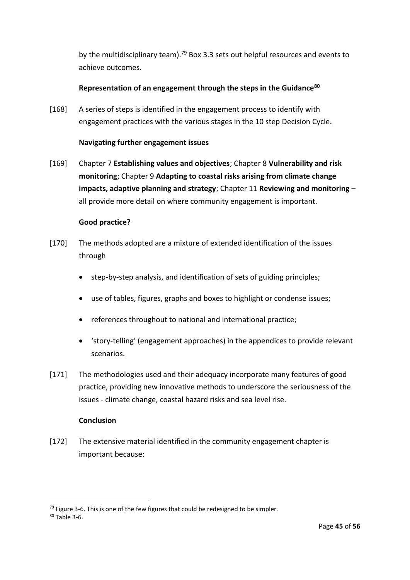by the multidisciplinary team).<sup>79</sup> Box 3.3 sets out helpful resources and events to achieve outcomes.

# **Representation of an engagement through the steps in the Guidance<sup>80</sup>**

[168] A series of steps is identified in the engagement process to identify with engagement practices with the various stages in the 10 step Decision Cycle.

### **Navigating further engagement issues**

[169] Chapter 7 **Establishing values and objectives**; Chapter 8 **Vulnerability and risk monitoring**; Chapter 9 **Adapting to coastal risks arising from climate change impacts, adaptive planning and strategy**; Chapter 11 **Reviewing and monitoring** – all provide more detail on where community engagement is important.

### **Good practice?**

- [170] The methods adopted are a mixture of extended identification of the issues through
	- step-by-step analysis, and identification of sets of guiding principles;
	- use of tables, figures, graphs and boxes to highlight or condense issues;
	- references throughout to national and international practice;
	- 'story-telling' (engagement approaches) in the appendices to provide relevant scenarios.
- [171] The methodologies used and their adequacy incorporate many features of good practice, providing new innovative methods to underscore the seriousness of the issues - climate change, coastal hazard risks and sea level rise.

#### **Conclusion**

[172] The extensive material identified in the community engagement chapter is important because:

 $79$  Figure 3-6. This is one of the few figures that could be redesigned to be simpler.

<sup>80</sup> Table 3-6.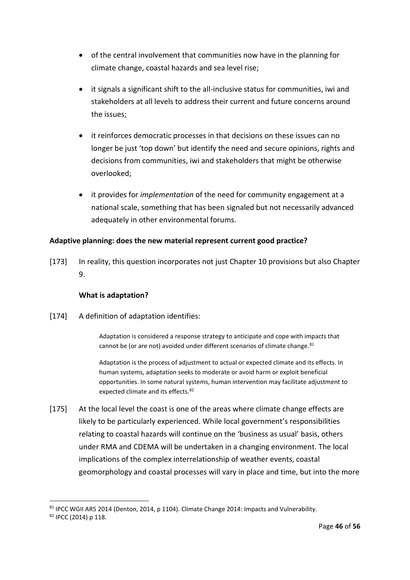- of the central involvement that communities now have in the planning for climate change, coastal hazards and sea level rise;
- it signals a significant shift to the all-inclusive status for communities, iwi and stakeholders at all levels to address their current and future concerns around the issues;
- it reinforces democratic processes in that decisions on these issues can no longer be just 'top down' but identify the need and secure opinions, rights and decisions from communities, iwi and stakeholders that might be otherwise overlooked;
- it provides for *implementation* of the need for community engagement at a national scale, something that has been signaled but not necessarily advanced adequately in other environmental forums.

# **Adaptive planning: does the new material represent current good practice?**

[173] In reality, this question incorporates not just Chapter 10 provisions but also Chapter 9.

# **What is adaptation?**

[174] A definition of adaptation identifies:

Adaptation is considered a response strategy to anticipate and cope with impacts that cannot be (or are not) avoided under different scenarios of climate change.<sup>81</sup>

Adaptation is the process of adjustment to actual or expected climate and its effects. In human systems, adaptation seeks to moderate or avoid harm or exploit beneficial opportunities. In some natural systems, human intervention may facilitate adjustment to expected climate and its effects.<sup>82</sup>

[175] At the local level the coast is one of the areas where climate change effects are likely to be particularly experienced. While local government's responsibilities relating to coastal hazards will continue on the 'business as usual' basis, others under RMA and CDEMA will be undertaken in a changing environment. The local implications of the complex interrelationship of weather events, coastal geomorphology and coastal processes will vary in place and time, but into the more

<sup>81</sup> IPCC WGII AR5 2014 (Denton, 2014, p 1104). Climate Change 2014: Impacts and Vulnerability.

<sup>82</sup> IPCC (2014) p 118.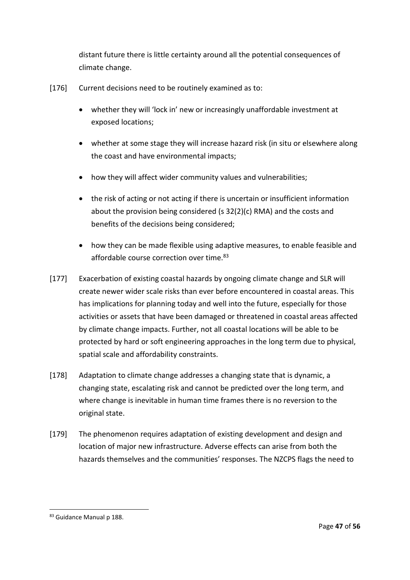distant future there is little certainty around all the potential consequences of climate change.

- [176] Current decisions need to be routinely examined as to:
	- whether they will 'lock in' new or increasingly unaffordable investment at exposed locations;
	- whether at some stage they will increase hazard risk (in situ or elsewhere along the coast and have environmental impacts;
	- how they will affect wider community values and vulnerabilities;
	- the risk of acting or not acting if there is uncertain or insufficient information about the provision being considered (s 32(2)(c) RMA) and the costs and benefits of the decisions being considered;
	- how they can be made flexible using adaptive measures, to enable feasible and affordable course correction over time.<sup>83</sup>
- [177] Exacerbation of existing coastal hazards by ongoing climate change and SLR will create newer wider scale risks than ever before encountered in coastal areas. This has implications for planning today and well into the future, especially for those activities or assets that have been damaged or threatened in coastal areas affected by climate change impacts. Further, not all coastal locations will be able to be protected by hard or soft engineering approaches in the long term due to physical, spatial scale and affordability constraints.
- [178] Adaptation to climate change addresses a changing state that is dynamic, a changing state, escalating risk and cannot be predicted over the long term, and where change is inevitable in human time frames there is no reversion to the original state.
- [179] The phenomenon requires adaptation of existing development and design and location of major new infrastructure. Adverse effects can arise from both the hazards themselves and the communities' responses. The NZCPS flags the need to

<sup>83</sup> Guidance Manual p 188.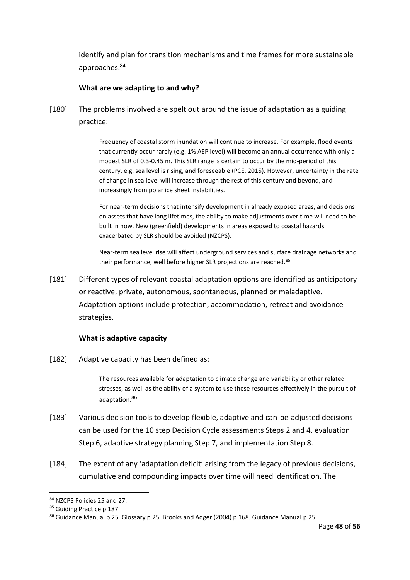identify and plan for transition mechanisms and time frames for more sustainable approaches.<sup>84</sup>

#### **What are we adapting to and why?**

[180] The problems involved are spelt out around the issue of adaptation as a guiding practice:

> Frequency of coastal storm inundation will continue to increase. For example, flood events that currently occur rarely (e.g. 1% AEP level) will become an annual occurrence with only a modest SLR of 0.3-0.45 m. This SLR range is certain to occur by the mid-period of this century, e.g. sea level is rising, and foreseeable (PCE, 2015). However, uncertainty in the rate of change in sea level will increase through the rest of this century and beyond, and increasingly from polar ice sheet instabilities.

For near-term decisions that intensify development in already exposed areas, and decisions on assets that have long lifetimes, the ability to make adjustments over time will need to be built in now. New (greenfield) developments in areas exposed to coastal hazards exacerbated by SLR should be avoided (NZCPS).

Near-term sea level rise will affect underground services and surface drainage networks and their performance, well before higher SLR projections are reached.<sup>85</sup>

[181] Different types of relevant coastal adaptation options are identified as anticipatory or reactive, private, autonomous, spontaneous, planned or maladaptive. Adaptation options include protection, accommodation, retreat and avoidance strategies.

#### **What is adaptive capacity**

[182] Adaptive capacity has been defined as:

The resources available for adaptation to climate change and variability or other related stresses, as well as the ability of a system to use these resources effectively in the pursuit of adaptation.<sup>86</sup>

- [183] Various decision tools to develop flexible, adaptive and can-be-adjusted decisions can be used for the 10 step Decision Cycle assessments Steps 2 and 4, evaluation Step 6, adaptive strategy planning Step 7, and implementation Step 8.
- [184] The extent of any 'adaptation deficit' arising from the legacy of previous decisions, cumulative and compounding impacts over time will need identification. The

<sup>84</sup> NZCPS Policies 25 and 27.

<sup>85</sup> Guiding Practice p 187.

<sup>86</sup> Guidance Manual p 25. Glossary p 25. Brooks and Adger (2004) p 168. Guidance Manual p 25.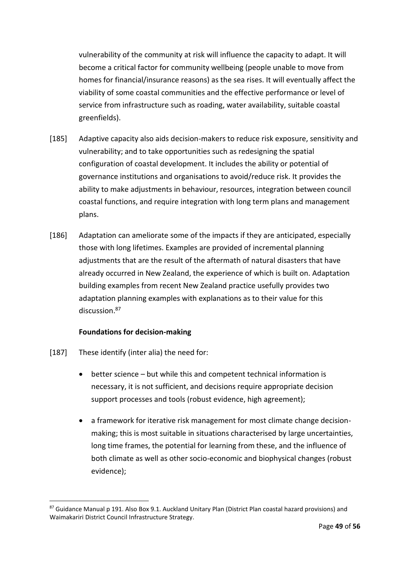vulnerability of the community at risk will influence the capacity to adapt. It will become a critical factor for community wellbeing (people unable to move from homes for financial/insurance reasons) as the sea rises. It will eventually affect the viability of some coastal communities and the effective performance or level of service from infrastructure such as roading, water availability, suitable coastal greenfields).

- [185] Adaptive capacity also aids decision-makers to reduce risk exposure, sensitivity and vulnerability; and to take opportunities such as redesigning the spatial configuration of coastal development. It includes the ability or potential of governance institutions and organisations to avoid/reduce risk. It provides the ability to make adjustments in behaviour, resources, integration between council coastal functions, and require integration with long term plans and management plans.
- [186] Adaptation can ameliorate some of the impacts if they are anticipated, especially those with long lifetimes. Examples are provided of incremental planning adjustments that are the result of the aftermath of natural disasters that have already occurred in New Zealand, the experience of which is built on. Adaptation building examples from recent New Zealand practice usefully provides two adaptation planning examples with explanations as to their value for this discussion.<sup>87</sup>

#### **Foundations for decision-making**

[187] These identify (inter alia) the need for:

- better science but while this and competent technical information is necessary, it is not sufficient, and decisions require appropriate decision support processes and tools (robust evidence, high agreement);
- a framework for iterative risk management for most climate change decisionmaking; this is most suitable in situations characterised by large uncertainties, long time frames, the potential for learning from these, and the influence of both climate as well as other socio-economic and biophysical changes (robust evidence);

<sup>87</sup> Guidance Manual p 191. Also Box 9.1. Auckland Unitary Plan (District Plan coastal hazard provisions) and Waimakariri District Council Infrastructure Strategy.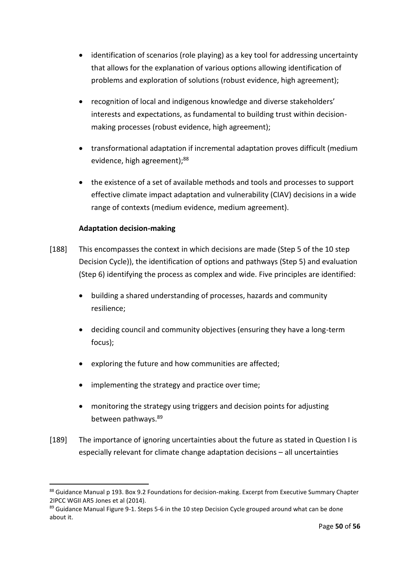- identification of scenarios (role playing) as a key tool for addressing uncertainty that allows for the explanation of various options allowing identification of problems and exploration of solutions (robust evidence, high agreement);
- recognition of local and indigenous knowledge and diverse stakeholders' interests and expectations, as fundamental to building trust within decisionmaking processes (robust evidence, high agreement);
- transformational adaptation if incremental adaptation proves difficult (medium evidence, high agreement);<sup>88</sup>
- the existence of a set of available methods and tools and processes to support effective climate impact adaptation and vulnerability (CIAV) decisions in a wide range of contexts (medium evidence, medium agreement).

# **Adaptation decision-making**

- [188] This encompasses the context in which decisions are made (Step 5 of the 10 step Decision Cycle)), the identification of options and pathways (Step 5) and evaluation (Step 6) identifying the process as complex and wide. Five principles are identified:
	- building a shared understanding of processes, hazards and community resilience;
	- deciding council and community objectives (ensuring they have a long-term focus);
	- exploring the future and how communities are affected;
	- implementing the strategy and practice over time;
	- monitoring the strategy using triggers and decision points for adjusting between pathways.<sup>89</sup>
- [189] The importance of ignoring uncertainties about the future as stated in Question I is especially relevant for climate change adaptation decisions – all uncertainties

<sup>88</sup> Guidance Manual p 193. Box 9.2 Foundations for decision-making. Excerpt from Executive Summary Chapter 2IPCC WGII AR5 Jones et al (2014).

<sup>89</sup> Guidance Manual Figure 9-1. Steps 5-6 in the 10 step Decision Cycle grouped around what can be done about it.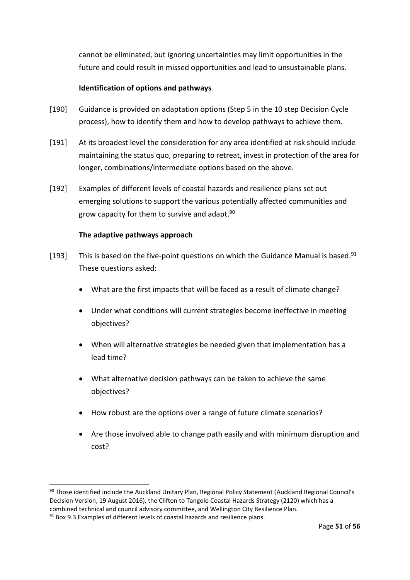cannot be eliminated, but ignoring uncertainties may limit opportunities in the future and could result in missed opportunities and lead to unsustainable plans.

### **Identification of options and pathways**

- [190] Guidance is provided on adaptation options (Step 5 in the 10 step Decision Cycle process), how to identify them and how to develop pathways to achieve them.
- [191] At its broadest level the consideration for any area identified at risk should include maintaining the status quo, preparing to retreat, invest in protection of the area for longer, combinations/intermediate options based on the above.
- [192] Examples of different levels of coastal hazards and resilience plans set out emerging solutions to support the various potentially affected communities and grow capacity for them to survive and adapt.<sup>90</sup>

### **The adaptive pathways approach**

- [193] This is based on the five-point questions on which the Guidance Manual is based.<sup>91</sup> These questions asked:
	- What are the first impacts that will be faced as a result of climate change?
	- Under what conditions will current strategies become ineffective in meeting objectives?
	- When will alternative strategies be needed given that implementation has a lead time?
	- What alternative decision pathways can be taken to achieve the same objectives?
	- How robust are the options over a range of future climate scenarios?
	- Are those involved able to change path easily and with minimum disruption and cost?

<sup>&</sup>lt;sup>90</sup> Those identified include the Auckland Unitary Plan, Regional Policy Statement (Auckland Regional Council's Decision Version, 19 August 2016), the Clifton to Tangoio Coastal Hazards Strategy (2120) which has a combined technical and council advisory committee, and Wellington City Resilience Plan.

 $91$  Box 9.3 Examples of different levels of coastal hazards and resilience plans.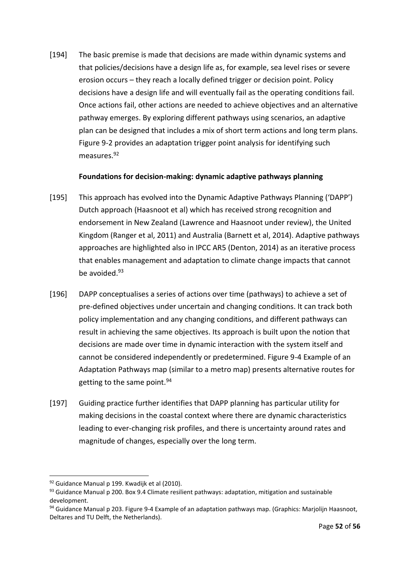[194] The basic premise is made that decisions are made within dynamic systems and that policies/decisions have a design life as, for example, sea level rises or severe erosion occurs – they reach a locally defined trigger or decision point. Policy decisions have a design life and will eventually fail as the operating conditions fail. Once actions fail, other actions are needed to achieve objectives and an alternative pathway emerges. By exploring different pathways using scenarios, an adaptive plan can be designed that includes a mix of short term actions and long term plans. Figure 9-2 provides an adaptation trigger point analysis for identifying such measures.<sup>92</sup>

#### **Foundations for decision-making: dynamic adaptive pathways planning**

- [195] This approach has evolved into the Dynamic Adaptive Pathways Planning ('DAPP') Dutch approach (Haasnoot et al) which has received strong recognition and endorsement in New Zealand (Lawrence and Haasnoot under review), the United Kingdom (Ranger et al, 2011) and Australia (Barnett et al, 2014). Adaptive pathways approaches are highlighted also in IPCC AR5 (Denton, 2014) as an iterative process that enables management and adaptation to climate change impacts that cannot be avoided.<sup>93</sup>
- [196] DAPP conceptualises a series of actions over time (pathways) to achieve a set of pre-defined objectives under uncertain and changing conditions. It can track both policy implementation and any changing conditions, and different pathways can result in achieving the same objectives. Its approach is built upon the notion that decisions are made over time in dynamic interaction with the system itself and cannot be considered independently or predetermined. Figure 9-4 Example of an Adaptation Pathways map (similar to a metro map) presents alternative routes for getting to the same point.<sup>94</sup>
- [197] Guiding practice further identifies that DAPP planning has particular utility for making decisions in the coastal context where there are dynamic characteristics leading to ever-changing risk profiles, and there is uncertainty around rates and magnitude of changes, especially over the long term.

<sup>92</sup> Guidance Manual p 199. Kwadijk et al (2010).

 $93$  Guidance Manual p 200. Box 9.4 Climate resilient pathways: adaptation, mitigation and sustainable development.

<sup>94</sup> Guidance Manual p 203. Figure 9-4 Example of an adaptation pathways map. (Graphics: Marjolijn Haasnoot, Deltares and TU Delft, the Netherlands).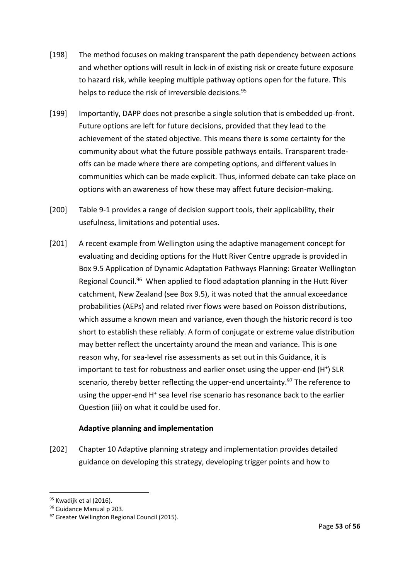- [198] The method focuses on making transparent the path dependency between actions and whether options will result in lock-in of existing risk or create future exposure to hazard risk, while keeping multiple pathway options open for the future. This helps to reduce the risk of irreversible decisions.<sup>95</sup>
- [199] Importantly, DAPP does not prescribe a single solution that is embedded up-front. Future options are left for future decisions, provided that they lead to the achievement of the stated objective. This means there is some certainty for the community about what the future possible pathways entails. Transparent tradeoffs can be made where there are competing options, and different values in communities which can be made explicit. Thus, informed debate can take place on options with an awareness of how these may affect future decision-making.
- [200] Table 9-1 provides a range of decision support tools, their applicability, their usefulness, limitations and potential uses.
- [201] A recent example from Wellington using the adaptive management concept for evaluating and deciding options for the Hutt River Centre upgrade is provided in Box 9.5 Application of Dynamic Adaptation Pathways Planning: Greater Wellington Regional Council.<sup>96</sup> When applied to flood adaptation planning in the Hutt River catchment, New Zealand (see Box 9.5), it was noted that the annual exceedance probabilities (AEPs) and related river flows were based on Poisson distributions, which assume a known mean and variance, even though the historic record is too short to establish these reliably. A form of conjugate or extreme value distribution may better reflect the uncertainty around the mean and variance. This is one reason why, for sea-level rise assessments as set out in this Guidance, it is important to test for robustness and earlier onset using the upper-end (H<sup>+</sup>) SLR scenario, thereby better reflecting the upper-end uncertainty.<sup>97</sup> The reference to using the upper-end H<sup>+</sup> sea level rise scenario has resonance back to the earlier Question (iii) on what it could be used for.

# **Adaptive planning and implementation**

[202] Chapter 10 Adaptive planning strategy and implementation provides detailed guidance on developing this strategy, developing trigger points and how to

<sup>95</sup> Kwadijk et al (2016).

<sup>96</sup> Guidance Manual p 203.

<sup>97</sup> Greater Wellington Regional Council (2015).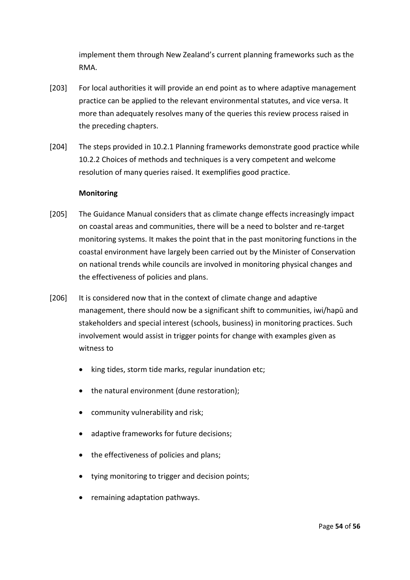implement them through New Zealand's current planning frameworks such as the RMA.

- [203] For local authorities it will provide an end point as to where adaptive management practice can be applied to the relevant environmental statutes, and vice versa. It more than adequately resolves many of the queries this review process raised in the preceding chapters.
- [204] The steps provided in 10.2.1 Planning frameworks demonstrate good practice while 10.2.2 Choices of methods and techniques is a very competent and welcome resolution of many queries raised. It exemplifies good practice.

#### **Monitoring**

- [205] The Guidance Manual considers that as climate change effects increasingly impact on coastal areas and communities, there will be a need to bolster and re-target monitoring systems. It makes the point that in the past monitoring functions in the coastal environment have largely been carried out by the Minister of Conservation on national trends while councils are involved in monitoring physical changes and the effectiveness of policies and plans.
- [206] It is considered now that in the context of climate change and adaptive management, there should now be a significant shift to communities, iwi/hapū and stakeholders and special interest (schools, business) in monitoring practices. Such involvement would assist in trigger points for change with examples given as witness to
	- king tides, storm tide marks, regular inundation etc;
	- the natural environment (dune restoration);
	- community vulnerability and risk;
	- adaptive frameworks for future decisions;
	- the effectiveness of policies and plans;
	- tying monitoring to trigger and decision points;
	- remaining adaptation pathways.